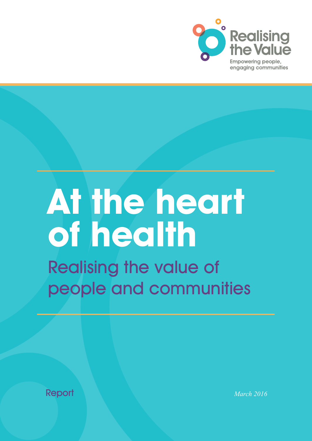

# **At the heart of health** Realising the value of

people and communities

Report *March 2016*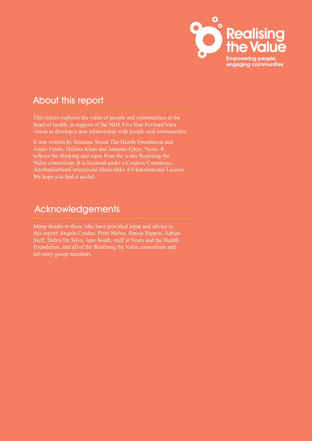

## About this report

This report explores the value of people and communities at the heart of health, in support of the NHS Five Year Forward View vision to develop a new relationship with people and communities.

It was written by Suzanne Wood, The Health Foundation and Annie Finnis, Halima Khan and Johanna Ejbye, Nesta. It reflects the thinking and input from the wider Realising the Value consortium. It is licensed under a Creative Commons-AttributionNonCommercial-ShareAlike 4.0 International License. We hope you find it useful.

## Acknowledgements

Many thanks to those who have provided input and advice to this report: Angela Coulter, Pritti Mehta, Simon Rippon, Adrian Sieff, Debra De Silva, Jane South, staff at Nesta and the Health Foundation, and all of the Realising the Value consortium and advisory group members.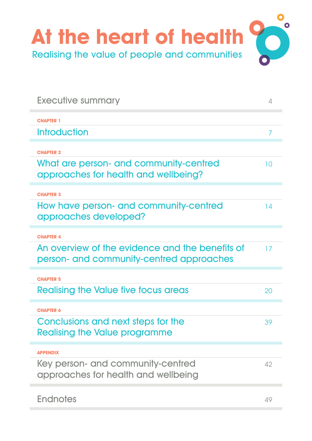<span id="page-2-0"></span>

| <b>Executive summary</b>                                                                    | $\Delta$ |
|---------------------------------------------------------------------------------------------|----------|
| <b>CHAPTER 1</b>                                                                            |          |
| Introduction                                                                                |          |
| <b>CHAPTER 2</b>                                                                            |          |
| What are person- and community-centred<br>approaches for health and wellbeing?              | 10       |
| <b>CHAPTER 3</b>                                                                            |          |
| How have person- and community-centred<br>approaches developed?                             | 14       |
| <b>CHAPTER 4</b>                                                                            |          |
| An overview of the evidence and the benefits of<br>person- and community-centred approaches | 17       |
| <b>CHAPTER 5</b>                                                                            |          |
| Realising the Value five focus areas                                                        | 20       |
| <b>CHAPTER 6</b>                                                                            |          |
| Conclusions and next steps for the<br><b>Realising the Value programme</b>                  | 39       |
| <b>APPENDIX</b>                                                                             |          |
| Key person- and community-centred<br>approaches for health and wellbeing                    | 42       |
| <b>Endnotes</b>                                                                             | 49       |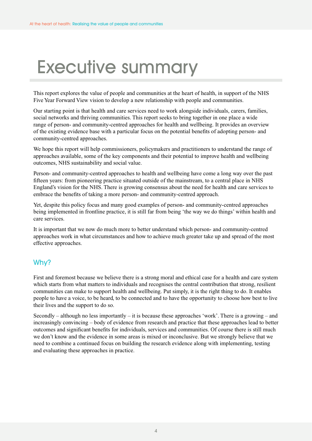## <span id="page-3-0"></span>Executive summary

This report explores the value of people and communities at the heart of health, in support of the NHS Five Year Forward View vision to develop a new relationship with people and communities.

Our starting point is that health and care services need to work alongside individuals, carers, families, social networks and thriving communities. This report seeks to bring together in one place a wide range of person- and community-centred approaches for health and wellbeing. It provides an overview of the existing evidence base with a particular focus on the potential benefits of adopting person- and community-centred approaches.

We hope this report will help commissioners, policymakers and practitioners to understand the range of approaches available, some of the key components and their potential to improve health and wellbeing outcomes, NHS sustainability and social value.

Person- and community-centred approaches to health and wellbeing have come a long way over the past fifteen years: from pioneering practice situated outside of the mainstream, to a central place in NHS England's vision for the NHS. There is growing consensus about the need for health and care services to embrace the benefits of taking a more person- and community-centred approach.

Yet, despite this policy focus and many good examples of person- and community-centred approaches being implemented in frontline practice, it is still far from being 'the way we do things' within health and care services.

It is important that we now do much more to better understand which person- and community-centred approaches work in what circumstances and how to achieve much greater take up and spread of the most effective approaches.

## Why?

First and foremost because we believe there is a strong moral and ethical case for a health and care system which starts from what matters to individuals and recognises the central contribution that strong, resilient communities can make to support health and wellbeing. Put simply, it is the right thing to do. It enables people to have a voice, to be heard, to be connected and to have the opportunity to choose how best to live their lives and the support to do so.

Secondly – although no less importantly – it is because these approaches 'work'. There is a growing – and increasingly convincing – body of evidence from research and practice that these approaches lead to better outcomes and significant benefits for individuals, services and communities. Of course there is still much we don't know and the evidence in some areas is mixed or inconclusive. But we strongly believe that we need to combine a continued focus on building the research evidence along with implementing, testing and evaluating these approaches in practice.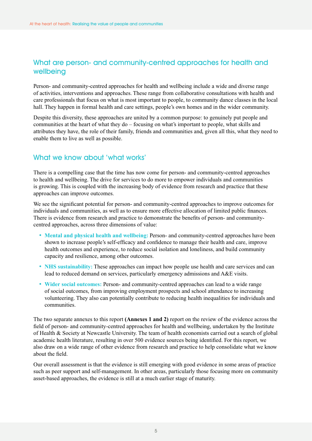## What are person- and community-centred approaches for health and wellbeing

Person- and community-centred approaches for health and wellbeing include a wide and diverse range of activities, interventions and approaches. These range from collaborative consultations with health and care professionals that focus on what is most important to people, to community dance classes in the local hall. They happen in formal health and care settings, people's own homes and in the wider community.

Despite this diversity, these approaches are united by a common purpose: to genuinely put people and communities at the heart of what they do – focusing on what's important to people, what skills and attributes they have, the role of their family, friends and communities and, given all this, what they need to enable them to live as well as possible.

## What we know about 'what works'

There is a compelling case that the time has now come for person- and community-centred approaches to health and wellbeing. The drive for services to do more to empower individuals and communities is growing. This is coupled with the increasing body of evidence from research and practice that these approaches can improve outcomes.

We see the significant potential for person- and community-centred approaches to improve outcomes for individuals and communities, as well as to ensure more effective allocation of limited public finances. There is evidence from research and practice to demonstrate the benefits of person- and communitycentred approaches, across three dimensions of value:

- **Mental and physical health and wellbeing:** Person- and community-centred approaches have been shown to increase people's self-efficacy and confidence to manage their health and care, improve health outcomes and experience, to reduce social isolation and loneliness, and build community capacity and resilience, among other outcomes.
- **NHS** sustainability: These approaches can impact how people use health and care services and can lead to reduced demand on services, particularly emergency admissions and A&E visits.
- **Wider social outcomes:** Person- and community-centred approaches can lead to a wide range of social outcomes, from improving employment prospects and school attendance to increasing volunteering. They also can potentially contribute to reducing health inequalities for individuals and communities.

The two separate annexes to this report **(Annexes 1 and 2)** report on the review of the evidence across the field of person- and community-centred approaches for health and wellbeing, undertaken by the Institute of Health & Society at Newcastle University. The team of health economists carried out a search of global academic health literature, resulting in over 500 evidence sources being identified. For this report, we also draw on a wide range of other evidence from research and practice to help consolidate what we know about the field.

Our overall assessment is that the evidence is still emerging with good evidence in some areas of practice such as peer support and self-management. In other areas, particularly those focusing more on community asset-based approaches, the evidence is still at a much earlier stage of maturity.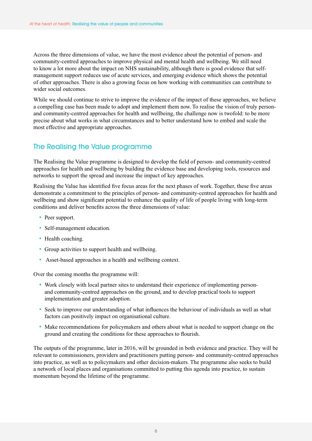Across the three dimensions of value, we have the most evidence about the potential of person- and community-centred approaches to improve physical and mental health and wellbeing. We still need to know a lot more about the impact on NHS sustainability, although there is good evidence that selfmanagement support reduces use of acute services, and emerging evidence which shows the potential of other approaches. There is also a growing focus on how working with communities can contribute to wider social outcomes.

While we should continue to strive to improve the evidence of the impact of these approaches, we believe a compelling case has been made to adopt and implement them now. To realise the vision of truly personand community-centred approaches for health and wellbeing, the challenge now is twofold: to be more precise about what works in what circumstances and to better understand how to embed and scale the most effective and appropriate approaches.

## The Realising the Value programme

The Realising the Value programme is designed to develop the field of person- and community-centred approaches for health and wellbeing by building the evidence base and developing tools, resources and networks to support the spread and increase the impact of key approaches.

Realising the Value has identified five focus areas for the next phases of work. Together, these five areas demonstrate a commitment to the principles of person- and community-centred approaches for health and wellbeing and show significant potential to enhance the quality of life of people living with long-term conditions and deliver benefits across the three dimensions of value:

- Peer support.
- Self-management education.
- Health coaching.
- Group activities to support health and wellbeing.
- Asset-based approaches in a health and wellbeing context.

Over the coming months the programme will:

- Work closely with local partner sites to understand their experience of implementing personand community-centred approaches on the ground, and to develop practical tools to support implementation and greater adoption.
- Seek to improve our understanding of what influences the behaviour of individuals as well as what factors can positively impact on organisational culture.
- Make recommendations for policymakers and others about what is needed to support change on the ground and creating the conditions for these approaches to flourish.

The outputs of the programme, later in 2016, will be grounded in both evidence and practice. They will be relevant to commissioners, providers and practitioners putting person- and community-centred approaches into practice, as well as to policymakers and other decision-makers. The programme also seeks to build a network of local places and organisations committed to putting this agenda into practice, to sustain momentum beyond the lifetime of the programme.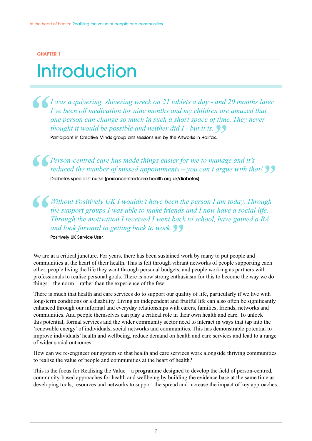#### <span id="page-6-0"></span>**CHAPTER 1**

## **Introduction**

*I was a quivering, shivering wreck on 21 tablets a day - and 20 months later I've been off medication for nine months and my children are amazed that one person can change so much in such a short space of time. They never thought it would be possible and neither did I - but it is.*

Participant in Creative Minds group arts sessions run by the Artworks in Halifax.

*Person-centred care has made things easier for me to manage and it's reduced the number of missed appointments – you can't argue with that!* Diabetes specialist nurse (personcentredcare.health.org.uk/diabetes).

*Without Positively UK I wouldn't have been the person I am today. Through the support groups I was able to make friends and I now have a social life. Through the motivation I received I went back to school, have gained a BA and look forward to getting back to work.*

Positively UK Service User.

We are at a critical juncture. For years, there has been sustained work by many to put people and communities at the heart of their health. This is felt through vibrant networks of people supporting each other, people living the life they want through personal budgets, and people working as partners with professionals to realise personal goals. There is now strong enthusiasm for this to become the way we do things – the norm – rather than the experience of the few.

There is much that health and care services do to support our quality of life, particularly if we live with long-term conditions or a disability. Living an independent and fruitful life can also often be significantly enhanced through our informal and everyday relationships with carers, families, friends, networks and communities. And people themselves can play a critical role in their own health and care. To unlock this potential, formal services and the wider community sector need to interact in ways that tap into the 'renewable energy' of individuals, social networks and communities. This has demonstrable potential to improve individuals' health and wellbeing, reduce demand on health and care services and lead to a range of wider social outcomes.

How can we re-engineer our system so that health and care services work alongside thriving communities to realise the value of people and communities at the heart of health?

This is the focus for Realising the Value – a programme designed to develop the field of person-centred, community-based approaches for health and wellbeing by building the evidence base at the same time as developing tools, resources and networks to support the spread and increase the impact of key approaches.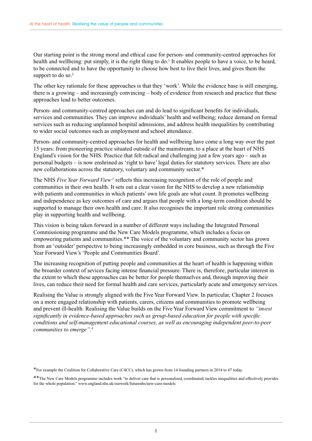Our starting point is the strong moral and ethical case for person- and community-centred approaches for health and wellbeing: put simply, it is the right thing to do.<sup>1</sup> It enables people to have a voice, to be heard, to be connected and to have the opportunity to choose how best to live their lives, and gives them the support to do so.<sup>2</sup>

The other key rationale for these approaches is that they 'work'. While the evidence base is still emerging, there is a growing – and increasingly convincing – body of evidence from research and practice that these approaches lead to better outcomes.

Person- and community-centred approaches can and do lead to significant benefits for individuals, services and communities. They can improve individuals' health and wellbeing; reduce demand on formal services such as reducing unplanned hospital admissions, and address health inequalities by contributing to wider social outcomes such as employment and school attendance.

Person- and community-centred approaches for health and wellbeing have come a long way over the past 15 years: from pioneering practice situated outside of the mainstream, to a place at the heart of NHS England's vision for the NHS. Practice that felt radical and challenging just a few years ago – such as personal budgets – is now enshrined as 'right to have' legal duties for statutory services. There are also new collaborations across the statutory, voluntary and community sector.\*

The NHS *Five Year Forward View*<sup>3</sup> reflects this increasing recognition of the role of people and communities in their own health. It sets out a clear vision for the NHS to develop a new relationship with patients and communities in which patients' own life goals are what count. It promotes wellbeing and independence as key outcomes of care and argues that people with a long-term condition should be supported to manage their own health and care. It also recognises the important role strong communities play in supporting health and wellbeing.

This vision is being taken forward in a number of different ways including the Integrated Personal Commissioning programme and the New Care Models programme, which includes a focus on empowering patients and communities.\*\* The voice of the voluntary and community sector has grown from an 'outsider' perspective to being increasingly embedded in core business, such as through the Five Year Forward View's 'People and Communities Board'.

The increasing recognition of putting people and communities at the heart of health is happening within the broarder context of sevices facing intense financial pressure. There is, therefore, particular interest in the extent to which these approaches can be better for people themselves and, through improving their lives, can reduce their need for formal health and care services, particularly acute and emergency services.

Realising the Value is strongly aligned with the Five Year Forward View. In particular, Chapter 2 focuses on a more engaged relationship with patients, carers, citizens and communities to promote wellbeing and prevent ill-health. Realising the Value builds on the Five Year Forward View commitment to *"invest significantly in evidence-based approaches such as group-based education for people with specific conditions and self-management educational courses, as well as encouraging independent peer-to-peer communities to emerge".4*

\*For example the Coalition for Collaborative Care (C4CC), which has grown from 14 founding partners in 2014 to 47 today.

\*\*The New Care Models programme includes work "to deliver care that is personalised, coordinated, tackles inequalities and effectively provides for the whole population." www.england.nhs.uk/ourwork/futurenhs/new-care-models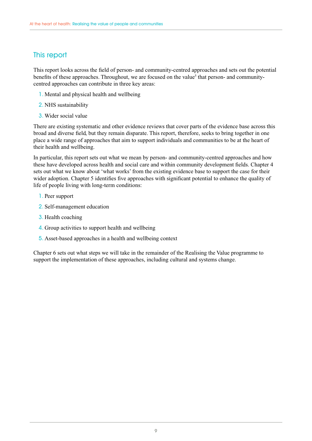## This report

This report looks across the field of person- and community-centred approaches and sets out the potential benefits of these approaches. Throughout, we are focused on the value<sup>5</sup> that person- and communitycentred approaches can contribute in three key areas:

- 1. Mental and physical health and wellbeing
- 2. NHS sustainability
- 3. Wider social value

There are existing systematic and other evidence reviews that cover parts of the evidence base across this broad and diverse field, but they remain disparate. This report, therefore, seeks to bring together in one place a wide range of approaches that aim to support individuals and communities to be at the heart of their health and wellbeing.

In particular, this report sets out what we mean by person- and community-centred approaches and how these have developed across health and social care and within community development fields. Chapter 4 sets out what we know about 'what works' from the existing evidence base to support the case for their wider adoption. Chapter 5 identifies five approaches with significant potential to enhance the quality of life of people living with long-term conditions:

- 1. Peer support
- 2. Self-management education
- 3. Health coaching
- 4. Group activities to support health and wellbeing
- 5. Asset-based approaches in a health and wellbeing context

Chapter 6 sets out what steps we will take in the remainder of the Realising the Value programme to support the implementation of these approaches, including cultural and systems change.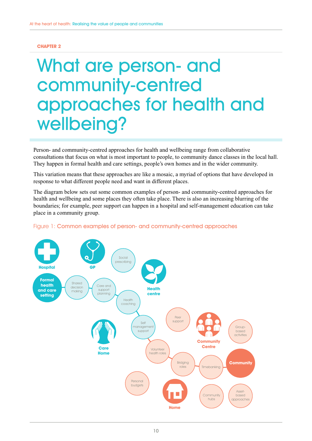#### <span id="page-9-0"></span>**CHAPTER 2**

## What are person- and community-centred approaches for health and wellbeing?

Person- and community-centred approaches for health and wellbeing range from collaborative consultations that focus on what is most important to people, to community dance classes in the local hall. They happen in formal health and care settings, people's own homes and in the wider community.

This variation means that these approaches are like a mosaic, a myriad of options that have developed in response to what different people need and want in different places.

The diagram below sets out some common examples of person- and community-centred approaches for health and wellbeing and some places they often take place. There is also an increasing blurring of the boundaries; for example, peer support can happen in a hospital and self-management education can take place in a community group.



#### Figure 1: Common examples of person- and community-centred approaches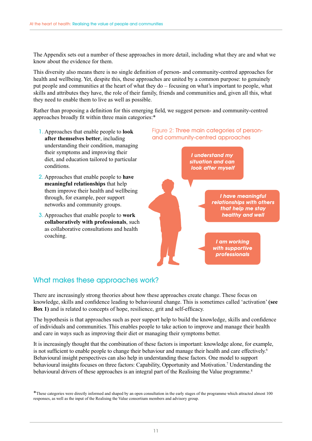The Appendix sets out a number of these approaches in more detail, including what they are and what we know about the evidence for them.

This diversity also means there is no single definition of person- and community-centred approaches for health and wellbeing. Yet, despite this, these approaches are united by a common purpose: to genuinely put people and communities at the heart of what they do – focusing on what's important to people, what skills and attributes they have, the role of their family, friends and communities and, given all this, what they need to enable them to live as well as possible.

Rather than proposing a definition for this emerging field, we suggest person- and community-centred approaches broadly fit within three main categories:\*

- 1. Approaches that enable people to **look after themselves better**, including understanding their condition, managing their symptoms and improving their diet, and education tailored to particular conditions.
- 2. Approaches that enable people to **have meaningful relationships** that help them improve their health and wellbeing through, for example, peer support networks and community groups.
- 3. Approaches that enable people to **work collaboratively with professionals**, such as collaborative consultations and health coaching.



## What makes these approaches work?

There are increasingly strong theories about how these approaches create change. These focus on knowledge, skills and confidence leading to behavioural change. This is sometimes called 'activation' **([see](#page-11-0)  [Box 1\)](#page-11-0)** and is related to concepts of hope, resilience, grit and self-efficacy.

The hypothesis is that approaches such as peer support help to build the knowledge, skills and confidence of individuals and communities. This enables people to take action to improve and manage their health and care in ways such as improving their diet or managing their symptoms better.

It is increasingly thought that the combination of these factors is important: knowledge alone, for example, is not sufficient to enable people to change their behaviour and manage their health and care effectively.<sup>6</sup> Behavioural insight perspectives can also help in understanding these factors. One model to support behavioural insights focuses on three factors: Capability, Opportunity and Motivation.<sup>7</sup> Understanding the behavioural drivers of these approaches is an integral part of the Realising the Value programme.<sup>8</sup>

<sup>\*</sup>These categories were directly informed and shaped by an open consultation in the early stages of the programme which attracted almost 100 responses, as well as the input of the Realising the Value consortium members and advisory group.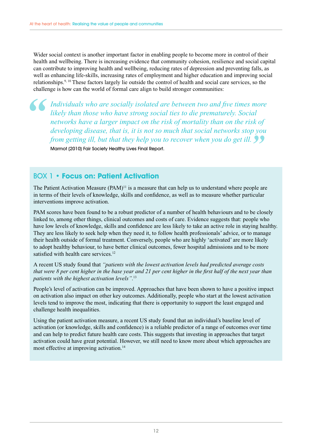<span id="page-11-0"></span>Wider social context is another important factor in enabling people to become more in control of their health and wellbeing. There is increasing evidence that community cohesion, resilience and social capital can contribute to improving health and wellbeing, reducing rates of depression and preventing falls, as well as enhancing life-skills, increasing rates of employment and higher education and improving social relationships.9, 10 These factors largely lie outside the control of health and social care services, so the challenge is how can the world of formal care align to build stronger communities:

*Individuals who are socially isolated are between two and five times more likely than those who have strong social ties to die prematurely. Social networks have a larger impact on the risk of mortality than on the risk of developing disease, that is, it is not so much that social networks stop you from getting ill, but that they help you to recover when you do get ill.* Marmot (2010) Fair Society Healthy Lives Final Report.

## BOX 1 • **Focus on: Patient Activation**

The Patient Activation Measure  $(PAM)^{11}$  is a measure that can help us to understand where people are in terms of their levels of knowledge, skills and confidence, as well as to measure whether particular interventions improve activation.

PAM scores have been found to be a robust predictor of a number of health behaviours and to be closely linked to, among other things, clinical outcomes and costs of care. Evidence suggests that: people who have low levels of knowledge, skills and confidence are less likely to take an active role in staying healthy. They are less likely to seek help when they need it, to follow health professionals' advice, or to manage their health outside of formal treatment. Conversely, people who are highly 'activated' are more likely to adopt healthy behaviour, to have better clinical outcomes, fewer hospital admissions and to be more satisfied with health care services.<sup>12</sup>

A recent US study found that *"patients with the lowest activation levels had predicted average costs that were 8 per cent higher in the base year and 21 per cent higher in the first half of the next year than patients with the highest activation levels"*. 13

People's level of activation can be improved. Approaches that have been shown to have a positive impact on activation also impact on other key outcomes. Additionally, people who start at the lowest activation levels tend to improve the most, indicating that there is opportunity to support the least engaged and challenge health inequalities.

Using the patient activation measure, a recent US study found that an individual's baseline level of activation (or knowledge, skills and confidence) is a reliable predictor of a range of outcomes over time and can help to predict future health care costs. This suggests that investing in approaches that target activation could have great potential. However, we still need to know more about which approaches are most effective at improving activation.<sup>14</sup>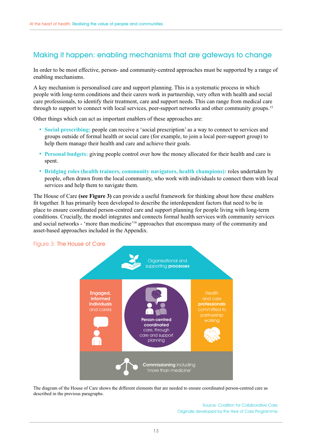## Making it happen: enabling mechanisms that are gateways to change

In order to be most effective, person- and community-centred approaches must be supported by a range of enabling mechanisms.

A key mechanism is personalised care and support planning. This is a systematic process in which people with long-term conditions and their carers work in partnership, very often with health and social care professionals, to identify their treatment, care and support needs. This can range from medical care through to support to connect with local services, peer-support networks and other community groups.15

Other things which can act as important enablers of these approaches are:

- **Social prescribing:** people can receive a 'social prescription' as a way to connect to services and groups outside of formal health or social care (for example, to join a local peer-support group) to help them manage their health and care and achieve their goals.
- **Personal budgets:** giving people control over how the money allocated for their health and care is spent.
- **Bridging roles (health trainers, community navigators, health champions):** roles undertaken by people, often drawn from the local community, who work with individuals to connect them with local services and help them to navigate them.

The House of Care **(see Figure 3)** can provide a useful framework for thinking about how these enablers fit together. It has primarily been developed to describe the interdependent factors that need to be in place to ensure coordinated person-centred care and support planning for people living with long-term conditions. Crucially, the model integrates and connects formal health services with community services and social networks - 'more than medicine'16 approaches that encompass many of the community and asset-based approaches included in the Appendix.

Figure 3: The House of Care



The diagram of the House of Care shows the different elements that are needed to ensure coordinated person-centred care as described in the previous paragraphs.

> Source: Coalition for Collaborative Care. Originally developed by the Year of Care Programme.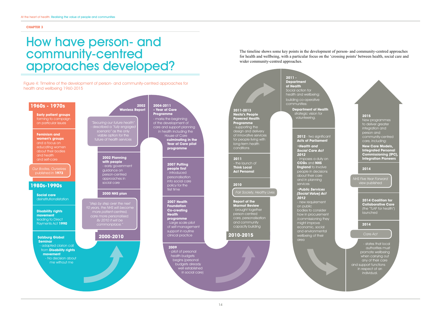#### <span id="page-13-0"></span>**CHAPTER 3**

## How have person- and community-centred approaches developed?

#### Figure 4: Timeline of the development of person- and community-centred approaches for health and wellbeing 1960-2015

## The timeline shows some key points in the development of person- and community-centred approaches for health and wellbeing, with a particular focus on the 'crossing points' between health, social care and wider community-centred approaches.

- states that local authorities must promote wellbeing when carrying out any of their care and support functions in respect of an individual.

NHS Five Year Forward view published

#### Care Act

#### **2011 - Department of Health** Social action for health and wellbeing: building co-operative communities

**2012** - two significant **Acts of Parliament •Health and Social Care Act 2012**

- new requirement on public bodies to consider how in procurement /commissioning they might improve economic, social and environmental wellbeing of their area

#### **2015**

New programmes to deliver greater integration and person and community-centred care, including:



**New Care Models, Integrated Personal Commissioning (IPC), Integration Pioneers**

#### **2014**

### **2014**

**2014 Coalition for Collaborative Care** (the "TLAP for health") launched

**Department of Health** strategic vision for volunteering.

> - imposes a duty on **CCGs** and **NHS England** to involve people in decisions about their care and in planning services

#### **•Public Services (Social Value) Act 2012**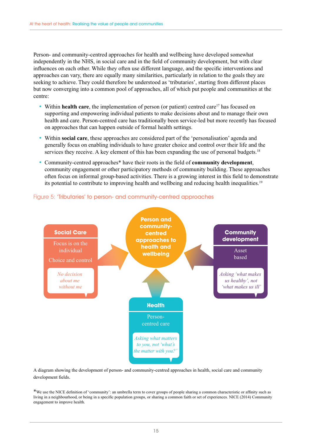Person- and community-centred approaches for health and wellbeing have developed somewhat independently in the NHS, in social care and in the field of community development, but with clear influences on each other. While they often use different language, and the specific interventions and approaches can vary, there are equally many similarities, particularly in relation to the goals they are seeking to achieve. They could therefore be understood as 'tributaries', starting from different places but now converging into a common pool of approaches, all of which put people and communities at the centre:

- Within **health care**, the implementation of person (or patient) centred care<sup>17</sup> has focused on supporting and empowering individual patients to make decisions about and to manage their own health and care. Person-centred care has traditionally been service-led but more recently has focused on approaches that can happen outside of formal health settings.
- Within **social care**, these approaches are considered part of the 'personalisation' agenda and generally focus on enabling individuals to have greater choice and control over their life and the services they receive. A key element of this has been expanding the use of personal budgets.<sup>18</sup>
- Community-centred approaches\* have their roots in the field of **community development**, community engagement or other participatory methods of community building. These approaches often focus on informal group-based activities. There is a growing interest in this field to demonstrate its potential to contribute to improving health and wellbeing and reducing health inequalities.19



#### Figure 5: 'Tributaries' to person- and community-centred approaches

A diagram showing the development of person- and community-centred approaches in health, social care and community development fields.

\*We use the NICE definition of 'community': an umbrella term to cover groups of people sharing a common characteristic or affinity such as living in a neighbourhood, or being in a specific population groups, or sharing a common faith or set of experiences. NICE (2014) Community engagement to improve health.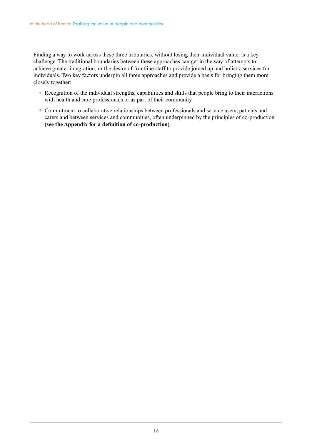Finding a way to work across these three tributaries, without losing their individual value, is a key challenge. The traditional boundaries between these approaches can get in the way of attempts to achieve greater integration; or the desire of frontline staff to provide joined up and holistic services for individuals. Two key factors underpin all three approaches and provide a basis for bringing them more closely together:

- Recognition of the individual strengths, capabilities and skills that people bring to their interactions with health and care professionals or as part of their community.
- Commitment to collaborative relationships between professionals and service users, patients and carers and between services and communities, often underpinned by the principles of co-production **([see the Appendix for a definition of co-production](#page-41-0))**.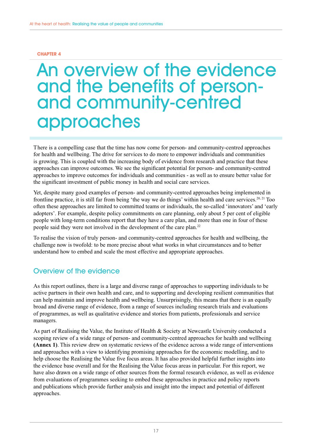#### <span id="page-16-0"></span>**CHAPTER 4**

## An overview of the evidence and the benefits of personand community-centred approaches

There is a compelling case that the time has now come for person- and community-centred approaches for health and wellbeing. The drive for services to do more to empower individuals and communities is growing. This is coupled with the increasing body of evidence from research and practice that these approaches can improve outcomes. We see the significant potential for person- and community-centred approaches to improve outcomes for individuals and communities - as well as to ensure better value for the significant investment of public money in health and social care services.

Yet, despite many good examples of person- and community-centred approaches being implemented in frontline practice, it is still far from being 'the way we do things' within health and care services.<sup>20, 21</sup> Too often these approaches are limited to committed teams or individuals, the so-called 'innovators' and 'early adopters'. For example, despite policy commitments on care planning, only about 5 per cent of eligible people with long-term conditions report that they have a care plan, and more than one in four of these people said they were not involved in the development of the care plan.22

To realise the vision of truly person- and community-centred approaches for health and wellbeing, the challenge now is twofold: to be more precise about what works in what circumstances and to better understand how to embed and scale the most effective and appropriate approaches.

## Overview of the evidence

As this report outlines, there is a large and diverse range of approaches to supporting individuals to be active partners in their own health and care, and to supporting and developing resilient communities that can help maintain and improve health and wellbeing. Unsurprisingly, this means that there is an equally broad and diverse range of evidence, from a range of sources including research trials and evaluations of programmes, as well as qualitative evidence and stories from patients, professionals and service managers.

As part of Realising the Value, the Institute of Health & Society at Newcastle University conducted a scoping review of a wide range of person- and community-centred approaches for health and wellbeing **(Annex 1)**. This review drew on systematic reviews of the evidence across a wide range of interventions and approaches with a view to identifying promising approaches for the economic modelling, and to help choose the Realising the Value five focus areas. It has also provided helpful further insights into the evidence base overall and for the Realising the Value focus areas in particular. For this report, we have also drawn on a wide range of other sources from the formal research evidence, as well as evidence from evaluations of programmes seeking to embed these approaches in practice and policy reports and publications which provide further analysis and insight into the impact and potential of different approaches.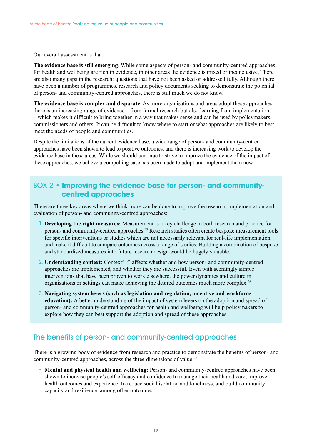Our overall assessment is that:

**The evidence base is still emerging**. While some aspects of person- and community-centred approaches for health and wellbeing are rich in evidence, in other areas the evidence is mixed or inconclusive. There are also many gaps in the research: questions that have not been asked or addressed fully. Although there have been a number of programmes, research and policy documents seeking to demonstrate the potential of person- and community-centred approaches, there is still much we do not know.

**The evidence base is complex and disparate**. As more organisations and areas adopt these approaches there is an increasing range of evidence – from formal research but also learning from implementation – which makes it difficult to bring together in a way that makes sense and can be used by policymakers, commissioners and others. It can be difficult to know where to start or what approaches are likely to best meet the needs of people and communities.

Despite the limitations of the current evidence base, a wide range of person- and community-centred approaches have been shown to lead to positive outcomes, and there is increasing work to develop the evidence base in these areas. While we should continue to strive to improve the evidence of the impact of these approaches, we believe a compelling case has been made to adopt and implement them now.

## BOX 2 • **Improving the evidence base for person- and communitycentred approaches**

There are three key areas where we think more can be done to improve the research, implementation and evaluation of person- and community-centred approaches:

- 1. **Developing the right measures:** Measurement is a key challenge in both research and practice for person- and community-centred approaches.<sup>23</sup> Research studies often create bespoke measurement tools for specific interventions or studies which are not necessarily relevant for real-life implementation and make it difficult to compare outcomes across a range of studies. Building a combination of bespoke and standardised measures into future research design would be hugely valuable.
- 2. **Understanding context:** Context<sup>24, 25</sup> affects whether and how person- and community-centred approaches are implemented, and whether they are successful. Even with seemingly simple interventions that have been proven to work elsewhere, the power dynamics and culture in organisations or settings can make achieving the desired outcomes much more complex.<sup>26</sup>
- 3. **Navigating system levers (such as legislation and regulation, incentive and workforce education):** A better understanding of the impact of system levers on the adoption and spread of person- and community-centred approaches for health and wellbeing will help policymakers to explore how they can best support the adoption and spread of these approaches.

## The benefits of person- and community-centred approaches

There is a growing body of evidence from research and practice to demonstrate the benefits of person- and community-centred approaches, across the three dimensions of value.<sup>27</sup>

• **Mental and physical health and wellbeing:** Person- and community-centred approaches have been shown to increase people's self-efficacy and confidence to manage their health and care, improve health outcomes and experience, to reduce social isolation and loneliness, and build community capacity and resilience, among other outcomes.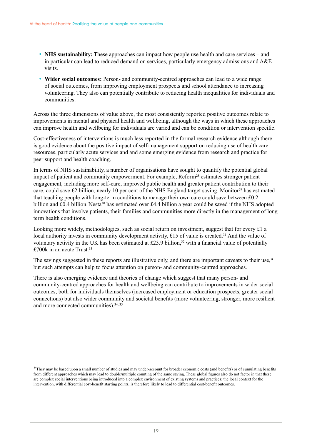- **NHS sustainability:** These approaches can impact how people use health and care services and in particular can lead to reduced demand on services, particularly emergency admissions and A&E visits.
- **Wider social outcomes:** Person- and community-centred approaches can lead to a wide range of social outcomes, from improving employment prospects and school attendance to increasing volunteering. They also can potentially contribute to reducing health inequalities for individuals and communities.

Across the three dimensions of value above, the most consistently reported positive outcomes relate to improvements in mental and physical health and wellbeing, although the ways in which these approaches can improve health and wellbeing for individuals are varied and can be condition or intervention specific.

Cost-effectiveness of interventions is much less reported in the formal research evidence although there is good evidence about the positive impact of self-management support on reducing use of health care resources, particularly acute services and and some emerging evidence from research and practice for peer support and health coaching.

In terms of NHS sustainability, a number of organisations have sought to quantify the potential global impact of patient and community empowerment. For example,  $Reform<sup>28</sup>$  estimates stronger patient engagement, including more self-care, improved public health and greater patient contribution to their care, could save £2 billion, nearly 10 per cent of the NHS England target saving. Monitor<sup>29</sup> has estimated that teaching people with long-term conditions to manage their own care could save between £0.2 billion and £0.4 billion. Nesta<sup>30</sup> has estimated over £4.4 billion a year could be saved if the NHS adopted innovations that involve patients, their families and communities more directly in the management of long term health conditions.

Looking more widely, methodologies, such as social return on investment, suggest that for every £1 a local authority invests in community development activity, £15 of value is created.<sup>31</sup> And the value of voluntary activity in the UK has been estimated at £23.9 billion, $32$  with a financial value of potentially £700k in an acute Trust.<sup>33</sup>

The savings suggested in these reports are illustrative only, and there are important caveats to their use,\* but such attempts can help to focus attention on person- and community-centred approaches.

There is also emerging evidence and theories of change which suggest that many person- and community-centred approaches for health and wellbeing can contribute to improvements in wider social outcomes, both for individuals themselves (increased employment or education prospects, greater social connections) but also wider community and societal benefits (more volunteering, stronger, more resilient and more connected communities).34, 35

<sup>\*</sup>They may be based upon a small number of studies and may under-account for broader economic costs (and benefits) or of cumulating benefits from different approaches which may lead to double/multiple counting of the same saving. These global figures also do not factor in that these are complex social interventions being introduced into a complex environment of existing systems and practices; the local context for the intervention, with differential cost-benefit starting points, is therefore likely to lead to differential cost-benefit outcomes.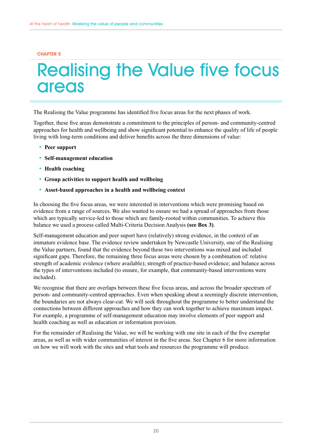#### <span id="page-19-0"></span>**CHAPTER 5**

## Realising the Value five focus **areas**

The Realising the Value programme has identified five focus areas for the next phases of work.

Together, these five areas demonstrate a commitment to the principles of person- and community-centred approaches for health and wellbeing and show significant potential to enhance the quality of life of people living with long-term conditions and deliver benefits across the three dimensions of value:

- **Peer support**
- **Self-management education**
- **Health coaching**
- **Group activities to support health and wellbeing**
- **Asset-based approaches in a health and wellbeing context**

In choosing the five focus areas, we were interested in interventions which were promising based on evidence from a range of sources. We also wanted to ensure we had a spread of approaches from those which are typically service-led to those which are family-rooted within communities. To achieve this balance we used a process called Multi-Criteria Decision Analysis **([see Box 3\)](#page-20-0)**.

Self-management education and peer suport have (relatively) strong evidence, in the context of an immature evidence base. The evidence review undertaken by Newcastle University, one of the Realising the Value partners, found that the evidence beyond these two interventions was mixed and included significant gaps. Therefore, the remaining three focus areas were chosen by a combination of: relative strength of academic evidence (where available); strength of practice-based evidence; and balance across the types of interventions included (to ensure, for example, that community-based interventions were included).

We recognise that there are overlaps between these five focus areas, and across the broader spectrum of person- and community-centred approaches. Even when speaking about a seemingly discrete intervention, the boundaries are not always clear-cut. We will seek throughout the programme to better understand the connections between different approaches and how they can work together to achieve maximum impact. For example, a programme of self-management education may involve elements of peer support and health coaching as well as education or information provision.

For the remainder of Realising the Value, we will be working with one site in each of the five exemplar areas, as well as with wider communities of interest in the five areas. See Chapter 6 for more information on how we will work with the sites and what tools and resources the programme will produce.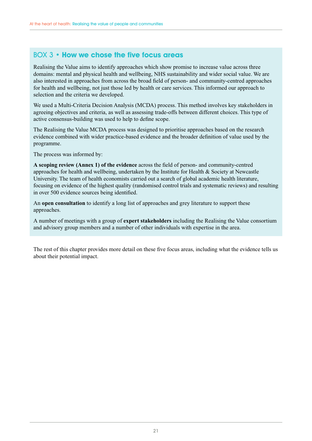## <span id="page-20-0"></span>BOX 3 • **How we chose the five focus areas**

Realising the Value aims to identify approaches which show promise to increase value across three domains: mental and physical health and wellbeing, NHS sustainability and wider social value. We are also interested in approaches from across the broad field of person- and community-centred approaches for health and wellbeing, not just those led by health or care services. This informed our approach to selection and the criteria we developed.

We used a Multi-Criteria Decision Analysis (MCDA) process. This method involves key stakeholders in agreeing objectives and criteria, as well as assessing trade-offs between different choices. This type of active consensus-building was used to help to define scope.

The Realising the Value MCDA process was designed to prioritise approaches based on the research evidence combined with wider practice-based evidence and the broader definition of value used by the programme.

The process was informed by:

**A scoping review (Annex 1) of the evidence** across the field of person- and community-centred approaches for health and wellbeing, undertaken by the Institute for Health & Society at Newcastle University. The team of health economists carried out a search of global academic health literature, focusing on evidence of the highest quality (randomised control trials and systematic reviews) and resulting in over 500 evidence sources being identified.

An **open consultation** to identify a long list of approaches and grey literature to support these approaches.

A number of meetings with a group of **expert stakeholders** including the Realising the Value consortium and advisory group members and a number of other individuals with expertise in the area.

The rest of this chapter provides more detail on these five focus areas, including what the evidence tells us about their potential impact.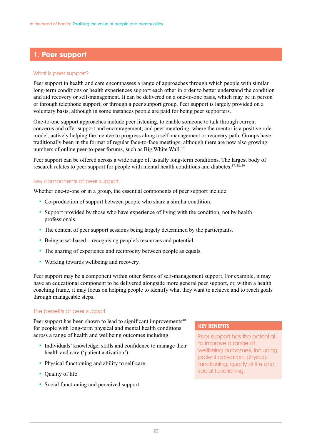## 1. **Peer support**

### What is peer support?

Peer support in health and care encompasses a range of approaches through which people with similar long-term conditions or health experiences support each other in order to better understand the condition and aid recovery or self-management. It can be delivered on a one-to-one basis, which may be in person or through telephone support, or through a peer support group. Peer support is largely provided on a voluntary basis, although in some instances people are paid for being peer supporters.

One-to-one support approaches include peer listening, to enable someone to talk through current concerns and offer support and encouragement, and peer mentoring, where the mentor is a positive role model, actively helping the mentee to progress along a self-management or recovery path. Groups have traditionally been in the format of regular face-to-face meetings, although there are now also growing numbers of online peer-to-peer forums, such as Big White Wall.<sup>36</sup>

Peer support can be offered across a wide range of, usually long-term conditions. The largest body of research relates to peer support for people with mental health conditions and diabetes.<sup>37, 38, 39</sup>

## Key components of peer support

Whether one-to-one or in a group, the essential components of peer support include:

- Co-production of support between people who share a similar condition.
- Support provided by those who have experience of living with the condition, not by health professionals.
- The content of peer support sessions being largely determined by the participants.
- Being asset-based recognising people's resources and potential.
- The sharing of experience and reciprocity between people as equals.
- Working towards wellbeing and recovery.

Peer support may be a component within other forms of self-management support. For example, it may have an educational component to be delivered alongside more general peer support, or, within a health coaching frame, it may focus on helping people to identify what they want to achieve and to reach goals through manageable steps.

## The benefits of peer support

Peer support has been shown to lead to significant improvements $40$ for people with long-term physical and mental health conditions across a range of health and wellbeing outcomes including:

- Individuals' knowledge, skills and confidence to manage their health and care ('patient activation').
- Physical functioning and ability to self-care.
- Quality of life.
- Social functioning and perceived support.

#### **KEY BENEFITS**

Peer support has the potential to improve a range of wellbeing outcomes, including patient activation, physical functioning, quality of life and social functioning.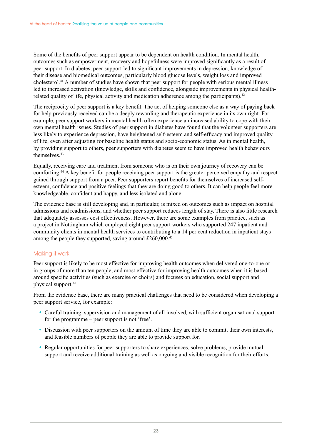Some of the benefits of peer support appear to be dependent on health condition. In mental health, outcomes such as empowerment, recovery and hopefulness were improved significantly as a result of peer support. In diabetes, peer support led to significant improvements in depression, knowledge of their disease and biomedical outcomes, particularly blood glucose levels, weight loss and improved cholesterol.41 A number of studies have shown that peer support for people with serious mental illness led to increased activation (knowledge, skills and confidence, alongside improvements in physical healthrelated quality of life, physical activity and medication adherence among the participants).<sup>42</sup>

The reciprocity of peer support is a key benefit. The act of helping someone else as a way of paying back for help previously received can be a deeply rewarding and therapeutic experience in its own right. For example, peer support workers in mental health often experience an increased ability to cope with their own mental health issues. Studies of peer support in diabetes have found that the volunteer supporters are less likely to experience depression, have heightened self-esteem and self-efficacy and improved quality of life, even after adjusting for baseline health status and socio-economic status. As in mental health, by providing support to others, peer supporters with diabetes seem to have improved health behaviours themselves<sup>43</sup>

Equally, receiving care and treatment from someone who is on their own journey of recovery can be comforting.44 A key benefit for people receiving peer support is the greater perceived empathy and respect gained through support from a peer. Peer supporters report benefits for themselves of increased selfesteem, confidence and positive feelings that they are doing good to others. It can help people feel more knowledgeable, confident and happy, and less isolated and alone.

The evidence base is still developing and, in particular, is mixed on outcomes such as impact on hospital admissions and readmissions, and whether peer support reduces length of stay. There is also little research that adequately assesses cost effectiveness. However, there are some examples from practice, such as a project in Nottingham which employed eight peer support workers who supported 247 inpatient and community clients in mental health services to contributing to a 14 per cent reduction in inpatient stays among the people they supported, saving around £260,000.45

## Making it work

Peer support is likely to be most effective for improving health outcomes when delivered one-to-one or in groups of more than ten people, and most effective for improving health outcomes when it is based around specific activities (such as exercise or choirs) and focuses on education, social support and physical support.46

From the evidence base, there are many practical challenges that need to be considered when developing a peer support service, for example:

- Careful training, supervision and management of all involved, with sufficient organisational support for the programme – peer support is not 'free'.
- Discussion with peer supporters on the amount of time they are able to commit, their own interests, and feasible numbers of people they are able to provide support for.
- Regular opportunities for peer supporters to share experiences, solve problems, provide mutual support and receive additional training as well as ongoing and visible recognition for their efforts.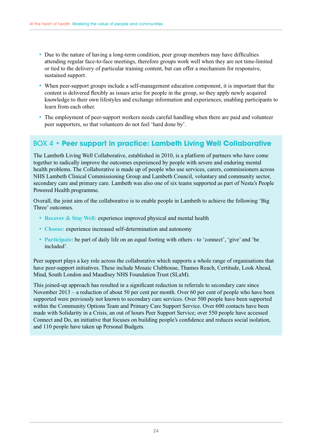- Due to the nature of having a long-term condition, peer group members may have difficulties attending regular face-to-face meetings, therefore groups work well when they are not time-limited or tied to the delivery of particular training content, but can offer a mechanism for responsive, sustained support.
- When peer-support groups include a self-management education component, it is important that the content is delivered flexibly as issues arise for people in the group, so they apply newly acquired knowledge to their own lifestyles and exchange information and experiences, enabling participants to learn from each other.
- The employment of peer-support workers needs careful handling when there are paid and volunteer peer supporters, so that volunteers do not feel 'hard done by'.

## BOX 4 • **Peer support in practice: Lambeth Living Well Collaborative**

The Lambeth Living Well Collaborative, established in 2010, is a platform of partners who have come together to radically improve the outcomes experienced by people with severe and enduring mental health problems. The Collaborative is made up of people who use services, carers, commissioners across NHS Lambeth Clinical Commissioning Group and Lambeth Council, voluntary and community sector, secondary care and primary care. Lambeth was also one of six teams supported as part of Nesta's People Powered Health programme.

Overall, the joint aim of the collaborative is to enable people in Lambeth to achieve the following 'Big Three' outcomes.

- **Recover & Stay Well:** experience improved physical and mental health
- **Choose:** experience increased self-determination and autonomy
- **Participate**: be part of daily life on an equal footing with others to 'connect', 'give' and 'be included'.

Peer support plays a key role across the collaborative which supports a whole range of organisations that have peer-support initiatives. These include Mosaic Clubhouse, Thames Reach, Certitude, Look Ahead, Mind, South London and Maudlsey NHS Foundation Trust (SLaM).

This joined-up approach has resulted in a significant reduction in referrals to secondary care since November 2013 – a reduction of about 50 per cent per month. Over 60 per cent of people who have been supported were previously not known to secondary care services. Over 500 people have been supported within the Community Options Team and Primary Care Support Service. Over 600 contacts have been made with Solidarity in a Crisis, an out of hours Peer Support Service; over 550 people have accessed Connect and Do, an initiative that focuses on building people's confidence and reduces social isolation, and 110 people have taken up Personal Budgets.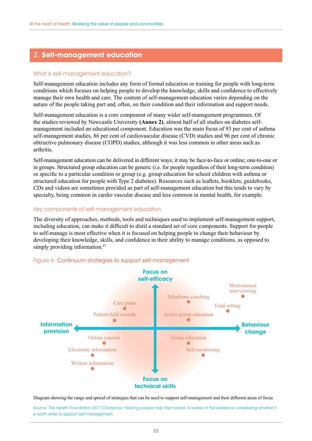## 2. **Self-management education**

#### What is self-management education?

Self-management education includes any form of formal education or training for people with long-term conditions which focuses on helping people to develop the knowledge, skills and confidence to effectively manage their own health and care. The content of self-management education varies depending on the nature of the people taking part and, often, on their condition and their information and support needs.

Self-management education is a core component of many wider self-management programmes. Of the studies reviewed by Newcastle University **(Annex 2)**, almost half of all studies on diabetes selfmanagement included an educational component. Education was the main focus of 93 per cent of asthma self-management studies, 86 per cent of cardiovascular disease (CVD) studies and 96 per cent of chronic obtructive pulmonary disease (COPD) studies, although it was less common in other areas such as arthritis.

Self-management education can be delivered in different ways; it may be face-to-face or online; one-to-one or in groups. Structured group education can be generic (i.e. for people regardless of their long-term condition) or specific to a particular condition or group (e.g. group education for school children with asthma or structured education for people with Type 2 diabetes). Resources such as leaflets, booklets, guidebooks, CDs and videos are sometimes provided as part of self-management education but this tends to vary by specialty, being common in cardio vascular disease and less common in mental health, for example.

#### Key components of self-management education

The diversity of approaches, methods, tools and techniques used to implement self-management support, including education, can make it difficult to distil a standard set of core components. Support for people to self-manage is most effective when it is focused on helping people to change their behaviour by developing their knowledge, skills, and confidence in their ability to manage conditions, as opposed to simply providing information.<sup>47</sup>



### Figure 6: Continuum strategies to support self-management

Diagram showing the range and spread of strategies that can be used to support self-management and their different areas of focus

Source: The Health Foundation (2011) Evidence: Helping people help themselves. A review of the evidence considering whether it is worth while to support self-management.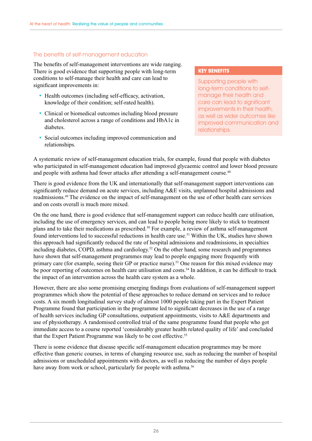#### The benefits of self-management education

The benefits of self-management interventions are wide ranging. There is good evidence that supporting people with long-term conditions to self-manage their health and care can lead to significant improvements in:

- Health outcomes (including self-efficacy, activation, knowledge of their condition; self-rated health).
- Clinical or biomedical outcomes including blood pressure and cholesterol across a range of conditions and HbA1c in diabetes.
- Social outcomes including improved communication and relationships.

#### **KEY BENEFITS**

Supporting people with long-term conditions to selfmanage their health and care can lead to significant improvements in their health, as well as wider outcomes like improved communication and relationships.

A systematic review of self-management education trials, for example, found that people with diabetes who participated in self-management education had improved glycaemic control and lower blood pressure and people with asthma had fewer attacks after attending a self-management course.<sup>48</sup>

There is good evidence from the UK and internationally that self-management support interventions can significantly reduce demand on acute services, including A&E visits, unplanned hospital admissions and readmissions.49 The evidence on the impact of self-management on the use of other health care services and on costs overall is much more mixed.

On the one hand, there is good evidence that self-management support can reduce health care utilisation, including the use of emergency services, and can lead to people being more likely to stick to treatment plans and to take their medications as prescribed.<sup>50</sup> For example, a review of asthma self-management found interventions led to successful reductions in health care use.<sup>51</sup> Within the UK, studies have shown this approach had significantly reduced the rate of hospital admissions and readmissions, in specialties including diabetes, COPD, asthma and cardiology.<sup>52</sup> On the other hand, some research and programmes have shown that self-management programmes may lead to people engaging more frequently with primary care (for example, seeing their GP or practice nurse).<sup>53</sup> One reason for this mixed evidence may be poor reporting of outcomes on health care utilisation and costs.<sup>54</sup> In addition, it can be difficult to track the impact of an intervention across the health care system as a whole.

However, there are also some promising emerging findings from evaluations of self-management support programmes which show the potential of these approaches to reduce demand on services and to reduce costs. A six month longitudinal survey study of almost 1000 people taking part in the Expert Patient Programme found that participation in the programme led to significant decreases in the use of a range of health services including GP consultations, outpatient appointments, visits to A&E departments and use of physiotherapy. A randomised controlled trial of the same programme found that people who got immediate access to a course reported 'considerably greater health related quality of life' and concluded that the Expert Patient Programme was likely to be cost effective.<sup>55</sup>

There is some evidence that disease specific self-management education programmes may be more effective than generic courses, in terms of changing resource use, such as reducing the number of hospital admissions or unscheduled appointments with doctors, as well as reducing the number of days people have away from work or school, particularly for people with asthma.<sup>56</sup>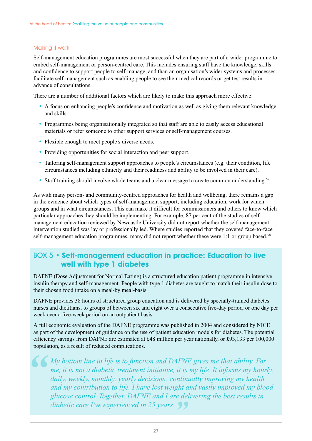## Making it work

Self-management education programmes are most successful when they are part of a wider programme to embed self-management or person-centred care. This includes ensuring staff have the knowledge, skills and confidence to support people to self-manage, and than an organisation's wider systems and processes facilitate self-management such as enabling people to see their medical records or get test results in advance of consultations.

There are a number of additional factors which are likely to make this approach more effective:

- A focus on enhancing people's confidence and motivation as well as giving them relevant knowledge and skills.
- Programmes being organisationally integrated so that staff are able to easily access educational materials or refer someone to other support services or self-management courses.
- Flexible enough to meet people's diverse needs.
- Providing opportunities for social interaction and peer support.
- Tailoring self-management support approaches to people's circumstances (e.g. their condition, life circumstances including ethnicity and their readiness and ability to be involved in their care).
- Staff training should involve whole teams and a clear message to create common understanding.<sup>57</sup>

As with many person- and community-centred approaches for health and wellbeing, there remains a gap in the evidence about which types of self-management support, including education, work for which groups and in what circumstances. This can make it difficult for commissioners and others to know which particular approaches they should be implementing. For example, 87 per cent of the studies of selfmanagement education reviewed by Newcastle University did not report whether the self-management intervention studied was lay or professionally led. Where studies reported that they covered face-to-face self-management education programmes, many did not report whether these were 1:1 or group based.<sup>58</sup>

## BOX 5 • **Self-management education in practice: Education to live well with type 1 diabetes**

DAFNE (Dose Adjustment for Normal Eating) is a structured education patient programme in intensive insulin therapy and self-management. People with type 1 diabetes are taught to match their insulin dose to their chosen food intake on a meal-by meal-basis.

DAFNE provides 38 hours of structured group education and is delivered by specially-trained diabetes nurses and dietitians, to groups of between six and eight over a consecutive five-day period, or one day per week over a five-week period on an outpatient basis.

A full economic evaluation of the DAFNE programme was published in 2004 and considered by NICE as part of the development of guidance on the use of patient education models for diabetes. The potential efficiency savings from DAFNE are estimated at £48 million per year nationally, or £93,133 per 100,000 population, as a result of reduced complications.

*My bottom line in life is to function and DAFNE gives me that ability. For me, it is not a diabetic treatment initiative, it is my life. It informs my hourly, daily, weekly, monthly, yearly decisions; continually improving my health and my contribution to life. I have lost weight and vastly improved my blood glucose control. Together, DAFNE and I are delivering the best results in diabetic care I've experienced in 25 years.*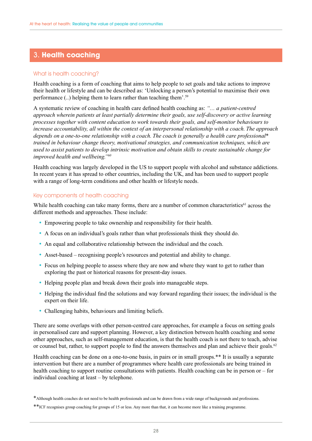## 3. **Health coaching**

## What is health coaching?

Health coaching is a form of coaching that aims to help people to set goals and take actions to improve their health or lifestyle and can be described as: 'Unlocking a person's potential to maximise their own performance (..) helping them to learn rather than teaching them'.59

A systematic review of coaching in health care defined health coaching as: *"… a patient-centred approach wherein patients at least partially determine their goals, use self-discovery or active learning processes together with content education to work towards their goals, and self-monitor behaviours to increase accountability, all within the context of an interpersonal relationship with a coach. The approach depends on a one-to-one relationship with a coach. The coach is generally a health care professional*\* *trained in behaviour change theory, motivational strategies, and communication techniques, which are used to assist patients to develop intrinsic motivation and obtain skills to create sustainable change for improved health and wellbeing."60*

Health coaching was largely developed in the US to support people with alcohol and substance addictions. In recent years it has spread to other countries, including the UK, and has been used to support people with a range of long-term conditions and other health or lifestyle needs.

#### Key components of health coaching

While health coaching can take many forms, there are a number of common characteristics<sup>61</sup> across the different methods and approaches. These include:

- Empowering people to take ownership and responsibility for their health.
- A focus on an individual's goals rather than what professionals think they should do.
- An equal and collaborative relationship between the individual and the coach.
- Asset-based recognising people's resources and potential and ability to change.
- Focus on helping people to assess where they are now and where they want to get to rather than exploring the past or historical reasons for present-day issues.
- Helping people plan and break down their goals into manageable steps.
- Helping the individual find the solutions and way forward regarding their issues; the individual is the expert on their life.
- Challenging habits, behaviours and limiting beliefs.

There are some overlaps with other person-centred care approaches, for example a focus on setting goals in personalised care and support planning. However, a key distinction between health coaching and some other approaches, such as self-management education, is that the health coach is not there to teach, advise or counsel but, rather, to support people to find the answers themselves and plan and achieve their goals.<sup>62</sup>

Health coaching can be done on a one-to-one basis, in pairs or in small groups.\*\* It is usually a separate intervention but there are a number of programmes where health care professionals are being trained in health coaching to support routine consultations with patients. Health coaching can be in person or – for individual coaching at least – by telephone.

<sup>\*</sup>Although health coaches do not need to be health professionals and can be drawn from a wide range of backgrounds and professions.

<sup>\*\*</sup>ICF recognises group coaching for groups of 15 or less. Any more than that, it can become more like a training programme.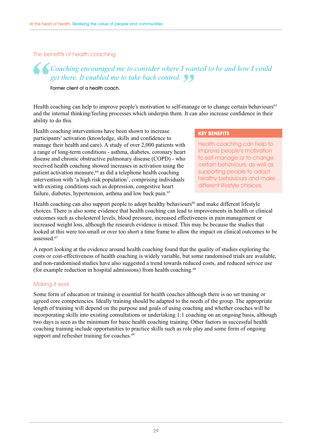The benefits of health coaching

## *Coaching encouraged me to consider where I wanted to be and how I could get there. It enabled me to take back control.*

Former client of a health coach.

Health coaching can help to improve people's motivation to self-manage or to change certain behaviours<sup>63</sup> and the internal thinking/feeling processes which underpin them. It can also increase confidence in their ability to do this.

Health coaching interventions have been shown to increase participants' activation (knowledge, skills and confidence to manage their health and care). A study of over 2,000 patients with a range of long-term conditions - asthma, diabetes, coronary heart disease and chronic obstructive pulmonary disease (COPD) - who received health coaching showed increases in activation using the patient activation measure,<sup>64</sup> as did a telephone health coaching intervention with 'a high risk population', comprising individuals with existing conditions such as depression, congestive heart failure, diabetes, hypertension, asthma and low back pain.<sup>65</sup>

#### **KEY BENEFITS**

Health coaching can help to improve people's motivation to self-manage or to change certain behaviours, as well as supporting people to adopt healthy behaviours and make different lifestyle choices.

Health coaching can also support people to adopt healthy behaviours<sup>66</sup> and make different lifestyle choices. There is also some evidence that health coaching can lead to improvements in health or clinical outcomes such as cholesterol levels, blood pressure, increased effectiveness in pain management or increased weight loss, although the research evidence is mixed. This may be because the studies that looked at this were too small or over too short a time frame to allow the impact on clinical outcomes to be assessed.67

A report looking at the evidence around health coaching found that the quality of studies exploring the costs or cost-effectiveness of health coaching is widely variable, but some randomised trials are available, and non-randomised studies have also suggested a trend towards reduced costs, and reduced service use (for example reduction in hospital admissions) from health coaching.68

### Making it work

Some form of education or training is essential for health coaches although there is no set training or agreed core competencies. Ideally training should be adapted to the needs of the group. The appropriate length of training will depend on the purpose and goals of using coaching and whether coaches will be incorporating skills into existing consultations or undertaking 1:1 coaching on an ongoing basis, although two days is seen as the minimum for basic health coaching training. Other factors in successful health coaching training include opportunities to practice skills such as role play and some form of ongoing support and refresher training for coaches.<sup>69</sup>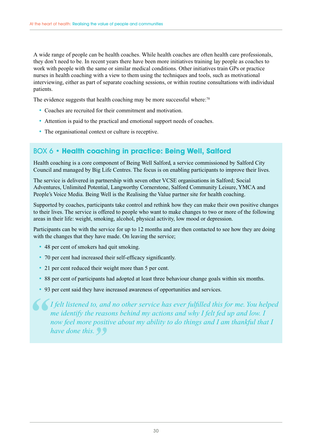A wide range of people can be health coaches. While health coaches are often health care professionals, they don't need to be. In recent years there have been more initiatives training lay people as coaches to work with people with the same or similar medical conditions. Other initiatives train GPs or practice nurses in health coaching with a view to them using the techniques and tools, such as motivational interviewing, either as part of separate coaching sessions, or within routine consultations with individual patients.

The evidence suggests that health coaching may be more successful where:<sup>70</sup>

- Coaches are recruited for their commitment and motivation.
- Attention is paid to the practical and emotional support needs of coaches.
- The organisational context or culture is receptive.

## BOX 6 • **Health coaching in practice: Being Well, Salford**

Health coaching is a core component of Being Well Salford, a service commissioned by Salford City Council and managed by Big Life Centres. The focus is on enabling participants to improve their lives.

The service is delivered in partnership with seven other VCSE organisations in Salford; Social Adventures, Unlimited Potential, Langworthy Cornerstone, Salford Community Leisure, YMCA and People's Voice Media. Being Well is the Realising the Value partner site for health coaching.

Supported by coaches, participants take control and rethink how they can make their own positive changes to their lives. The service is offered to people who want to make changes to two or more of the following areas in their life: weight, smoking, alcohol, physical activity, low mood or depression.

Participants can be with the service for up to 12 months and are then contacted to see how they are doing with the changes that they have made. On leaving the service;

- 48 per cent of smokers had quit smoking.
- 70 per cent had increased their self-efficacy significantly.
- 21 per cent reduced their weight more than 5 per cent.
- 88 per cent of participants had adopted at least three behaviour change goals within six months.
- 93 per cent said they have increased awareness of opportunities and services.

*I felt listened to, and no other service has ever fulfilled this for me. You helped me identify the reasons behind my actions and why I felt fed up and low. I now feel more positive about my ability to do things and I am thankful that I have done this.*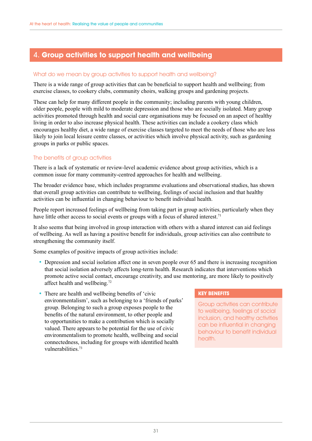## 4. **Group activities to support health and wellbeing**

### What do we mean by group activities to support health and wellbeing?

There is a wide range of group activities that can be beneficial to support health and wellbeing; from exercise classes, to cookery clubs, community choirs, walking groups and gardening projects.

These can help for many different people in the community; including parents with young children, older people, people with mild to moderate depression and those who are socially isolated. Many group activities promoted through health and social care organisations may be focused on an aspect of healthy living in order to also increase physical health. These activities can include a cookery class which encourages healthy diet, a wide range of exercise classes targeted to meet the needs of those who are less likely to join local leisure centre classes, or activities which involve physical activity, such as gardening groups in parks or public spaces.

## The benefits of group activities

There is a lack of systematic or review-level academic evidence about group activities, which is a common issue for many community-centred approaches for health and wellbeing.

The broader evidence base, which includes programme evaluations and observational studies, has shown that overall group activities can contribute to wellbeing, feelings of social inclusion and that healthy activities can be influential in changing behaviour to benefit individual health.

People report increased feelings of wellbeing from taking part in group activities, particularly when they have little other access to social events or groups with a focus of shared interest.<sup>71</sup>

It also seems that being involved in group interaction with others with a shared interest can aid feelings of wellbeing. As well as having a positive benefit for individuals, group activities can also contribute to strengthening the community itself.

Some examples of positive impacts of group activities include:

- Depression and social isolation affect one in seven people over 65 and there is increasing recognition that social isolation adversely affects long-term health. Research indicates that interventions which promote active social contact, encourage creativity, and use mentoring, are more likely to positively affect health and wellbeing.72
- There are health and wellbeing benefits of 'civic environmentalism', such as belonging to a 'friends of parks' group. Belonging to such a group exposes people to the benefits of the natural environment, to other people and to opportunities to make a contribution which is socially valued. There appears to be potential for the use of civic environmentalism to promote health, wellbeing and social connectedness, including for groups with identified health vulnerabilities.73

## **KEY BENEFITS**

Group activities can contribute to wellbeing, feelings of social inclusion, and healthy activities can be influential in changing behaviour to benefit individual health.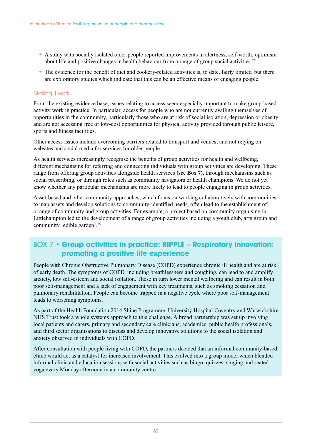- A study with socially isolated older people reported improvements in alertness, self-worth, optimism about life and positive changes in health behaviour from a range of group social activities.<sup>74</sup>
- The evidence for the benefit of diet and cookery-related activities is, to date, fairly limited, but there are exploratory studies which indicate that this can be an effective means of engaging people.

#### Making it work

From the existing evidence base, issues relating to access seem especially important to make group-based activity work in practice. In particular, access for people who are not currently availing themselves of opportunities in the community, particularly those who are at risk of social isolation, depression or obesity and are not accessing free or low-cost opportunities for physical activity provided through public leisure, sports and fitness facilities.

Other access issues include overcoming barriers related to transport and venues, and not relying on websites and social media for services for older people.

As health services increasingly recognise the benefits of group activities for health and wellbeing, different mechanisms for referring and connecting individuals with group activities are developing. These range from offering group activities alongside health services **(see Box 7)**, through mechanisms such as social prescribing, or through roles such as community navigators or health champions. We do not yet know whether any particular mechanisms are more likely to lead to people engaging in group activities.

Asset-based and other community approaches, which focus on working collaboratively with communities to map assets and develop solutions to community-identified needs, often lead to the establishment of a range of community and group activities. For example, a project based on community organising in Littlehampton led to the development of a range of group activities including a youth club, arts group and community 'edible garden'.75

## BOX 7 • **Group activities in practice: RIPPLE – Respiratory innovation: promoting a positive life experience**

People with Chronic Obstructive Pulmonary Disease (COPD) experience chronic ill health and are at risk of early death. The symptoms of COPD, including breathlessness and coughing, can lead to and amplify anxiety, low self-esteem and social isolation. These in turn lower mental wellbeing and can result in both poor self-management and a lack of engagement with key treatments, such as smoking cessation and pulmonary rehabilitation. People can become trapped in a negative cycle where poor self-management leads to worsening symptoms.

As part of the Health Foundation 2014 Shine Programme, University Hospital Coventry and Warwickshire NHS Trust took a whole systems approach to this challenge. A broad partnership was set up involving local patients and carers, primary and secondary care clinicians, academics, public health professionals, and third sector organisations to discuss and develop innovative solutions to the social isolation and anxiety observed in individuals with COPD.

After consultation with people living with COPD, the partners decided that an informal community-based clinic would act as a catalyst for increased involvement. This evolved into a group model which blended informal clinic and education sessions with social activities such as bingo, quizzes, singing and seated yoga every Monday afternoon in a community centre.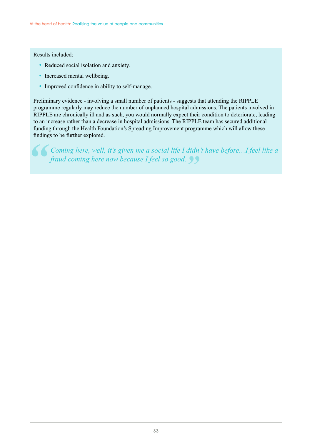## Results included:

- Reduced social isolation and anxiety.
- Increased mental wellbeing.
- Improved confidence in ability to self-manage.

Preliminary evidence - involving a small number of patients - suggests that attending the RIPPLE programme regularly may reduce the number of unplanned hospital admissions. The patients involved in RIPPLE are chronically ill and as such, you would normally expect their condition to deteriorate, leading to an increase rather than a decrease in hospital admissions. The RIPPLE team has secured additional funding through the Health Foundation's Spreading Improvement programme which will allow these findings to be further explored.

*Coming here, well, it's given me a social life I didn't have before…I feel like a fraud coming here now because I feel so good.*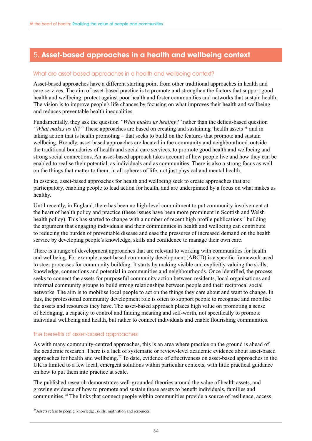## 5. **Asset-based approaches in a health and wellbeing context**

### What are asset-based approaches in a health and wellbeing context?

Asset-based approaches have a different starting point from other traditional approaches in health and care services. The aim of asset-based practice is to promote and strengthen the factors that support good health and wellbeing, protect against poor health and foster communities and networks that sustain health. The vision is to improve people's life chances by focusing on what improves their health and wellbeing and reduces preventable health inequalities.

Fundamentally, they ask the question *"What makes us healthy?"* rather than the deficit-based question *"What makes us ill?"* These approaches are based on creating and sustaining 'health assets'\* and in taking action that is health promoting – that seeks to build on the features that promote and sustain wellbeing. Broadly, asset based approaches are located in the community and neighbourhood, outside the traditional boundaries of health and social care services, to promote good health and wellbeing and strong social connections. An asset-based approach takes account of how people live and how they can be enabled to realise their potential, as individuals and as communities. There is also a strong focus as well on the things that matter to them, in all spheres of life, not just physical and mental health.

In essence, asset-based approaches for health and wellbeing seek to create approaches that are participatory, enabling people to lead action for health, and are underpinned by a focus on what makes us healthy.

Until recently, in England, there has been no high-level commitment to put community involvement at the heart of health policy and practice (these issues have been more prominent in Scottish and Welsh health policy). This has started to change with a number of recent high profile publications<sup>76</sup> building the argument that engaging individuals and their communities in health and wellbeing can contribute to reducing the burden of preventable disease and ease the pressures of increased demand on the health service by developing people's knowledge, skills and confidence to manage their own care.

There is a range of development approaches that are relevant to working with communities for health and wellbeing. For example, asset-based community development (ABCD) is a specific framework used to steer processes for community building. It starts by making visible and explicitly valuing the skills, knowledge, connections and potential in communities and neighbourhoods. Once identified, the process seeks to connect the assets for purposeful community action between residents, local organisations and informal community groups to build strong relationships between people and their reciprocal social networks. The aim is to mobilise local people to act on the things they care about and want to change. In this, the professional community development role is often to support people to recognise and mobilise the assets and resources they have. The asset-based approach places high value on promoting a sense of belonging, a capacity to control and finding meaning and self-worth, not specifically to promote individual wellbeing and health, but rather to connect individuals and enable flourishing communities.

## The benefits of asset-based approaches

As with many community-centred approaches, this is an area where practice on the ground is ahead of the academic research. There is a lack of systematic or review-level academic evidence about asset-based approaches for health and wellbeing.77 To date, evidence of effectiveness on asset-based approaches in the UK is limited to a few local, emergent solutions within particular contexts, with little practical guidance on how to put them into practice at scale.

The published research demonstrates well-grounded theories around the value of health assets, and growing evidence of how to promote and sustain those assets to benefit individuals, families and communities.78 The links that connect people within communities provide a source of resilience, access

<sup>\*</sup>Assets refers to people, knowledge, skills, motivation and resources.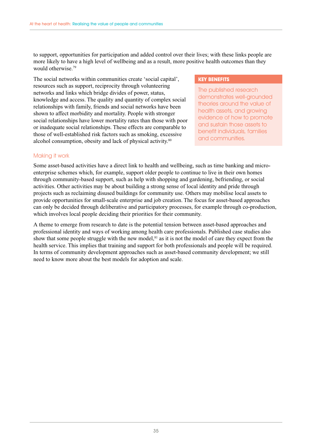to support, opportunities for participation and added control over their lives; with these links people are more likely to have a high level of wellbeing and as a result, more positive health outcomes than they would otherwise.79

The social networks within communities create 'social capital', resources such as support, reciprocity through volunteering networks and links which bridge divides of power, status, knowledge and access. The quality and quantity of complex social relationships with family, friends and social networks have been shown to affect morbidity and mortality. People with stronger social relationships have lower mortality rates than those with poor or inadequate social relationships. These effects are comparable to those of well-established risk factors such as smoking, excessive alcohol consumption, obesity and lack of physical activity.<sup>80</sup>

#### **KEY BENEFITS**

The published research demonstrates well-grounded theories around the value of health assets, and growing evidence of how to promote and sustain those assets to benefit individuals, families and communities.

### Making it work

Some asset-based activities have a direct link to health and wellbeing, such as time banking and microenterprise schemes which, for example, support older people to continue to live in their own homes through community-based support, such as help with shopping and gardening, befriending, or social activities. Other activities may be about building a strong sense of local identity and pride through projects such as reclaiming disused buildings for community use. Others may mobilise local assets to provide opportunities for small-scale enterprise and job creation. The focus for asset-based approaches can only be decided through deliberative and participatory processes, for example through co-production, which involves local people deciding their priorities for their community.

A theme to emerge from research to date is the potential tension between asset-based approaches and professional identity and ways of working among health care professionals. Published case studies also show that some people struggle with the new model, $81$  as it is not the model of care they expect from the health service. This implies that training and support for both professionals and people will be required. In terms of community development approaches such as asset-based community development; we still need to know more about the best models for adoption and scale.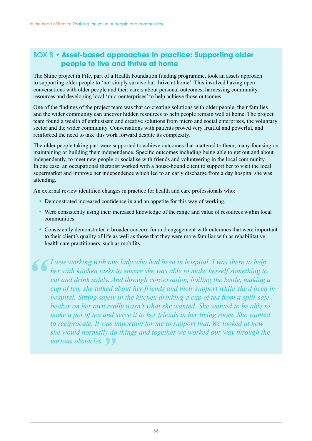## BOX 8 • **Asset-based approaches in practice: Supporting older people to live and thrive at home**

The Shine project in Fife, part of a Health Foundation funding programme, took an assets approach to supporting older people to 'not simply survive but thrive at home'. This involved having open conversations with older people and their carers about personal outcomes, harnessing community resources and developing local 'microenterprises' to help achieve those outcomes.

One of the findings of the project team was that co-creating solutions with older people, their families and the wider community can uncover hidden resources to help people remain well at home. The project team found a wealth of enthusiasm and creative solutions from micro and social enterprises, the voluntary sector and the wider community. Conversations with patients proved very fruitful and powerful, and reinforced the need to take this work forward despite its complexity.

The older people taking part were supported to achieve outcomes that mattered to them, many focusing on maintaining or building their independence. Specific outcomes including being able to get out and about independently, to meet new people or socialise with friends and volunteering in the local community. In one case, an occupational therapist worked with a house-bound client to support her to visit the local supermarket and improve her independence which led to an early discharge from a day hospital she was attending.

An external review identified changes in practice for health and care professionals who:

- Demonstrated increased confidence in and an appetite for this way of working.
- Were consistently using their increased knowledge of the range and value of resources within local communities.
- Consistently demonstrated a broader concern for and engagement with outcomes that were important to their client's quality of life as well as those that they were more familiar with as rehabilitative health care practitioners, such as mobility.

*I was working with one lady who had been in hospital. I was there to help her with kitchen tasks to ensure she was able to make herself something to eat and drink safely. And through conversation, boiling the kettle, making a cup of tea, she talked about her friends and their support while she'd been in hospital. Sitting safely in the kitchen drinking a cup of tea from a spill-safe beaker on her own really wasn't what she wanted. She wanted to be able to make a pot of tea and serve it to her friends in her living room. She wanted to reciprocate. It was important for me to support that. We looked at how she would normally do things and together we worked our way through the various obstacles.*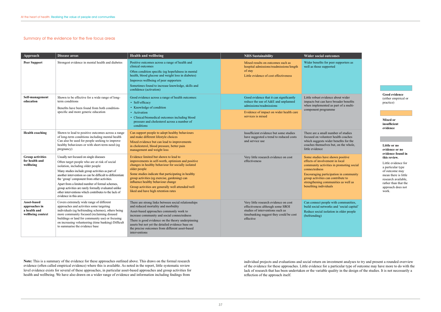#### mes

r supporters as

about wider broader benefits part of a multi-

there of studies health coaches benefits for the ut, on the whole,

own positive  $t$  in local in promoting social

ation in community ontribute to nities as well as

ith communities, and 'social capital' n in older people

**Note:** This is a summary of the evidence for these approaches outlined above. This draws on the formal research evidence (often called empirical evidence) where this is available. As noted in the report, little systematic review level evidence exists for several of these approaches, in particular asset-based approaches and group activities for health and wellbeing. We have also drawn on a wider range of evidence and information including findings from

#### Summary of the evidence for the five focus areas

individual projects and evaluations and social return on investment analyses to try and present a rounded overview of the evidence for these approaches. Little evidence for a particular type of outcome may have more to do with the lack of research that has been undertaken or the variable quality in the design of the studies. It is not necessarily a reflection of the approach itself.

**Good evidence**  (either empirical or practice)

**Mixed or insufficient evidence**

#### **Little or no evidence or no evidence found in this review.**

Little evidence for a particular type of outcome may mean there is little research available, rather than that the approach does not work.

| Approach                                                          | Disease areas                                                                                                                                                                                                                                                                                                                                                                                                                                                                             | <b>Health and wellbeing</b>                                                                                                                                                                                                                                                                                                                                                                                | <b>NHS Sustainability</b>                                                                                                                                                 | <b>Wider social outcon</b>                                                                                                                                                                               |
|-------------------------------------------------------------------|-------------------------------------------------------------------------------------------------------------------------------------------------------------------------------------------------------------------------------------------------------------------------------------------------------------------------------------------------------------------------------------------------------------------------------------------------------------------------------------------|------------------------------------------------------------------------------------------------------------------------------------------------------------------------------------------------------------------------------------------------------------------------------------------------------------------------------------------------------------------------------------------------------------|---------------------------------------------------------------------------------------------------------------------------------------------------------------------------|----------------------------------------------------------------------------------------------------------------------------------------------------------------------------------------------------------|
| <b>Peer Support</b>                                               | Strongest evidence in mental health and diabetes                                                                                                                                                                                                                                                                                                                                                                                                                                          | Positive outcomes across a range of health and<br>clinical outcomes<br>Often condition specific (eg hopefulness in mental<br>health, blood glucose and weight loss in diabetes)<br>Improves wellbeing of peer supporters<br>Sometimes found to increase knowledge, skills and<br>confidence (activation)                                                                                                   | Mixed results on outcomes such as<br>hospital admissions/readmissions/length<br>of stay<br>Little evidence of cost effectiveness                                          | Wider benefits for peer<br>well as those supported                                                                                                                                                       |
| Self-management<br>education                                      | Shown to be effective for a wide range of long-<br>term conditions<br>Benefits have been found from both condition-<br>specific and more generic education                                                                                                                                                                                                                                                                                                                                | Good evidence across a range of health outcomes:<br>• Self-efficacy<br>• Knowledge of condition<br>• Activation<br>• Clinical/biomedical outcomes including blood<br>pressure and cholesterol across a number of<br>conditions                                                                                                                                                                             | Good evidence that it can significantly<br>reduce the use of A&E and unplanned<br>admissions/readmissions<br>Evidence of impact on wider health care<br>services is mixed | Little robust evidence a<br>impacts but can have br<br>when implemented as p<br>component programme                                                                                                      |
| <b>Health coaching</b>                                            | Shown to lead to positive outcomes across a range<br>of long-term conditions including mental health<br>Can also be used for people seeking to improve<br>healthy behaviours or with short-term need (eg<br>pregnancy)                                                                                                                                                                                                                                                                    | Can support people to adopt healthy behaviours<br>and make different lifestyle choices<br>Mixed evidence but can lead to improvements<br>in cholesterol, blood pressure, better pain<br>management and weight loss                                                                                                                                                                                         | Insufficient evidence but some studies<br>have suggested a trend to reduced costs<br>and service use                                                                      | There are a small numb<br>focused on volunteer he<br>which suggests wider bo<br>coaches themselves but.<br>little evidence                                                                               |
| <b>Group activities</b><br>for health and<br>wellbeing            | Usually not focused on single diseases<br>Often target people who are at risk of social<br>isolation, including older people<br>Many studies include group activities as part of<br>another intervention so can be difficult to differentiate<br>the 'group' component from other activities.<br>Apart from a limited number of formal schemes,<br>group activities are rarely formally evaluated unlike<br>other interventions which contributes to the lack of<br>evidence in this area | Evidence limited but shown to lead to<br>improvements in self-worth, optimism and positive<br>changes in healthy behaviour for socially isolated<br>older people<br>Some studies indicate that participating in healthy<br>group activities (eg exercise, gardening) can<br>influence healthy behaviour change<br>Group activities are generally well attended/well<br>liked and have high retention rates | Very little research evidence on cost<br>effectiveness                                                                                                                    | Some studies have show<br>effects of involvement i<br>community activities in<br>connectedness<br>Encouraging participati<br>group activities can con<br>strengthening communi<br>benefiting individuals |
| Asset-based<br>approaches in<br>a health and<br>wellbeing context | Covers extremely wide range of different<br>approaches and activities some targeting<br>individuals (eg befriending schemes), others being<br>more community focused (reclaiming disused<br>buildings or land for community use) or focusing<br>on increasing volunteering (time banking) Difficult<br>to summarise the evidence base                                                                                                                                                     | There are strong links between social relationships<br>and reduced mortality and morbidity<br>Asset-based approaches commonly work to<br>increase community and social connectedness<br>There is good evidence on the theory underpinning<br>assets but not yet the detailed evidence base on<br>the precise outcomes from different asset-based<br>interventions                                          | Very little research evidence on cost<br>effectiveness although some SROI<br>studies of interventions such as<br>timebanking suggest they could be cost<br>effective      | Can connect people wit<br>build social networks are<br>Reduce social isolation<br>(befriending)                                                                                                          |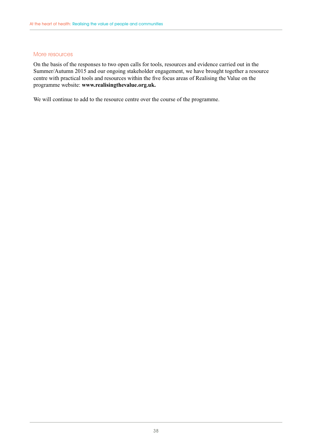#### More resources

On the basis of the responses to two open calls for tools, resources and evidence carried out in the Summer/Autumn 2015 and our ongoing stakeholder engagement, we have brought together a resource centre with practical tools and resources within the five focus areas of Realising the Value on the programme website: **www.realisingthevalue.org.uk.**

We will continue to add to the resource centre over the course of the programme.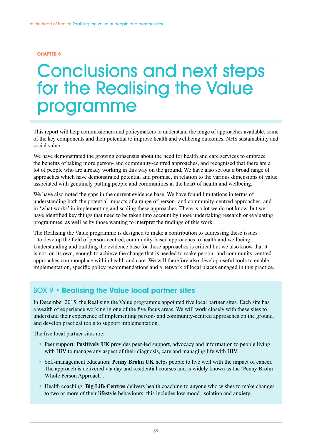#### <span id="page-38-0"></span>**CHAPTER 6**

## Conclusions and next steps for the Realising the Value programme

This report will help commissioners and policymakers to understand the range of approaches available, some of the key components and their potential to improve health and wellbeing outcomes, NHS sustainability and social value.

We have demonstrated the growing consensus about the need for health and care services to embrace the benefits of taking more person- and community-centred approaches, and recognised that there are a lot of people who are already working in this way on the ground. We have also set out a broad range of approaches which have demonstrated potential and promise, in relation to the various dimensions of value associated with genuinely putting people and communities at the heart of health and wellbeing.

We have also noted the gaps in the current evidence base. We have found limitations in terms of understanding both the potential impacts of a range of person- and community-centred approaches, and in 'what works' in implementing and scaling these approaches. There is a lot we do not know, but we have identified key things that need to be taken into account by those undertaking research or evaluating programmes, as well as by those wanting to interpret the findings of this work.

The Realising the Value programme is designed to make a contribution to addressing these issues – to develop the field of person-centred, community-based approaches to health and wellbeing. Understanding and building the evidence base for these approaches is critical but we also know that it is not, on its own, enough to achieve the change that is needed to make person- and community-centred approaches commonplace within health and care. We will therefore also develop useful tools to enable implementation, specific policy recommendations and a network of local places engaged in this practice.

## BOX 9 • **Realising the Value local partner sites**

In December 2015, the Realising the Value programme appointed five local partner sites. Each site has a wealth of experience working in one of the five focus areas. We will work closely with these sites to understand their experience of implementing person- and community-centred approaches on the ground, and develop practical tools to support implementation.

The five local partner sites are:

- Peer support: **Positively UK** provides peer-led support, advocacy and information to people living with HIV to manage any aspect of their diagnosis, care and managing life with HIV.
- Self-management education: **Penny Brohn UK** helps people to live well with the impact of cancer. The approach is delivered via day and residential courses and is widely known as the 'Penny Brohn Whole Person Approach'.
- Health coaching: **Big Life Centres** delivers health coaching to anyone who wishes to make changes to two or more of their lifestyle behaviours; this includes low mood, isolation and anxiety.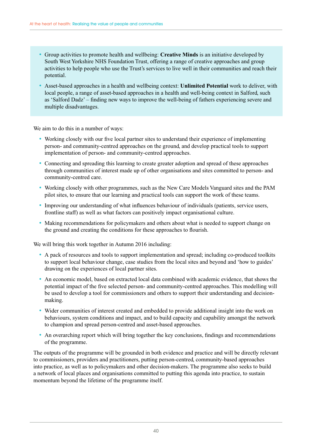- Group activities to promote health and wellbeing: **Creative Minds** is an initiative developed by South West Yorkshire NHS Foundation Trust, offering a range of creative approaches and group activities to help people who use the Trust's services to live well in their communities and reach their potential.
- Asset-based approaches in a health and wellbeing context: **Unlimited Potential** work to deliver, with local people, a range of asset-based approaches in a health and well-being context in Salford, such as 'Salford Dadz' – finding new ways to improve the well-being of fathers experiencing severe and multiple disadvantages.

We aim to do this in a number of ways:

- Working closely with our five local partner sites to understand their experience of implementing person- and community-centred approaches on the ground, and develop practical tools to support implementation of person- and community-centred approaches.
- Connecting and spreading this learning to create greater adoption and spread of these approaches through communities of interest made up of other organisations and sites committed to person- and community-centred care.
- Working closely with other programmes, such as the New Care Models Vanguard sites and the PAM pilot sites, to ensure that our learning and practical tools can support the work of these teams.
- Improving our understanding of what influences behaviour of individuals (patients, service users, frontline staff) as well as what factors can positively impact organisational culture.
- Making recommendations for policymakers and others about what is needed to support change on the ground and creating the conditions for these approaches to flourish.

We will bring this work together in Autumn 2016 including:

- A pack of resources and tools to support implementation and spread; including co-produced toolkits to support local behaviour change, case studies from the local sites and beyond and 'how to guides' drawing on the experiences of local partner sites.
- An economic model, based on extracted local data combined with academic evidence, that shows the potential impact of the five selected person- and community-centred approaches. This modelling will be used to develop a tool for commissioners and others to support their understanding and decisionmaking.
- Wider communities of interest created and embedded to provide additional insight into the work on behaviours, system conditions and impact, and to build capacity and capability amongst the network to champion and spread person-centred and asset-based approaches.
- An overarching report which will bring together the key conclusions, findings and recommendations of the programme.

The outputs of the programme will be grounded in both evidence and practice and will be directly relevant to commissioners, providers and practitioners, putting person-centred, community-based approaches into practice, as well as to policymakers and other decision-makers. The programme also seeks to build a network of local places and organisations committed to putting this agenda into practice, to sustain momentum beyond the lifetime of the programme itself.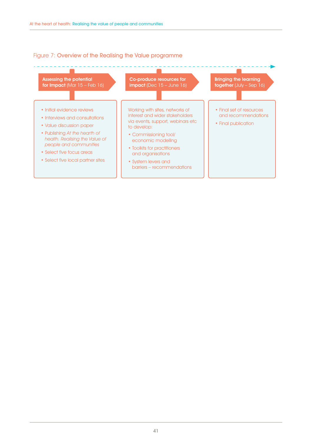### Figure 7: Overview of the Realising the Value programme

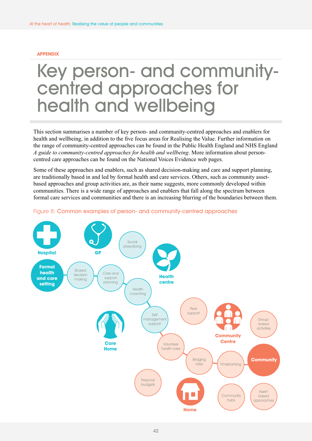#### <span id="page-41-0"></span>**APPENDIX**

## Key person- and communitycentred approaches for health and wellbeing

This section summarises a number of key person- and community-centred approaches and enablers for health and wellbeing, in addition to the five focus areas for Realising the Value. Further information on the range of community-centred approaches can be found in the Public Health England and NHS England *A guide to community-centred approaches for health and wellbeing*. More information about personcentred care approaches can be found on the National Voices Evidence web pages.

Some of these approaches and enablers, such as shared decision-making and care and support planning, are traditionally based in and led by formal health and care services. Others, such as community assetbased approaches and group activities are, as their name suggests, more commonly developed within communities. There is a wide range of approaches and enablers that fall along the spectrum between formal care services and communities and there is an increasing blurring of the boundaries between them.



#### Figure 8: Common examples of person- and community-centred approaches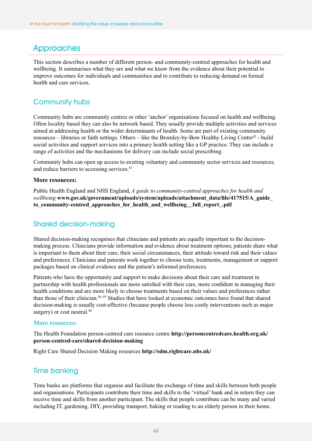## **Approaches**

This section describes a number of different person- and community-centred approaches for health and wellbeing. It summarises what they are and what we know from the evidence about their potential to improve outcomes for individuals and communities and to contribute to reducing demand on formal health and care services.

## Community hubs

Community hubs are community centres or other 'anchor' organisations focused on health and wellbeing. Often locality based they can also be network based. They usually provide multiple activities and services aimed at addressing health or the wider determinants of health. Some are part of existing community resources – libraries or faith settings. Others – like the Bromley-by-Bow Healthy Living Centre<sup>82</sup> - build social activities and support services into a primary health setting like a GP practice. They can include a range of activities and the mechanisms for delivery can include social prescribing.

Community hubs can open up access to existing voluntary and community sector services and resources, and reduce barriers to accessing services.<sup>83</sup>

## **More resources:**

Public Health England and NHS England, *A guide to community-centred approaches for health and wellbeing* **[www.gov.uk/government/uploads/system/uploads/attachment\\_data/file/417515/A\\_guide\\_](http://www.gov.uk/government/uploads/system/uploads/attachment_data/file/417515/A_guide_to_community-centred_approaches_for_health_and_wellbeing__full_report_.pdf) [to\\_community-centred\\_approaches\\_for\\_health\\_and\\_wellbeing\\_\\_full\\_report\\_.pdf](http://www.gov.uk/government/uploads/system/uploads/attachment_data/file/417515/A_guide_to_community-centred_approaches_for_health_and_wellbeing__full_report_.pdf)** 

## Shared decision-making

Shared decision-making recognises that clinicians and patients are equally important to the decisionmaking process. Clinicians provide information and evidence about treatment options; patients share what is important to them about their care, their social circumstances, their attitude toward risk and their values and preferences. Clinicians and patients work together to choose tests, treatments, management or support packages based on clinical evidence and the patient's informed preferences.

Patients who have the opportunity and support to make decisions about their care and treatment in partnership with health professionals are more satisfied with their care, more confident in managing their health conditions and are more likely to choose treatments based on their values and preferences rather than those of their clinician.<sup>84, 85</sup> Studies that have looked at economic outcomes have found that shared decision-making is usually cost-effective (because people choose less costly interventions such as major surgery) or cost neutral.<sup>86</sup>

#### **More resources:**

The Health Foundation person-centred care resource centre **[http://personcentredcare.health.org.uk/](http://personcentredcare.health.org.uk/person-centred-care/shared-decision-making) [person-centred-care/shared-decision-making](http://personcentredcare.health.org.uk/person-centred-care/shared-decision-making)**

Right Care Shared Decision Making resources **<http://sdm.rightcare.nhs.uk/>** 

## Time banking

Time banks are platforms that organise and facilitate the exchange of time and skills between both people and organisations. Participants contribute their time and skills to the 'virtual' bank and in return they can receive time and skills from another participant. The skills that people contribute can be many and varied including IT, gardening, DIY, providing transport, baking or reading to an elderly person in their home.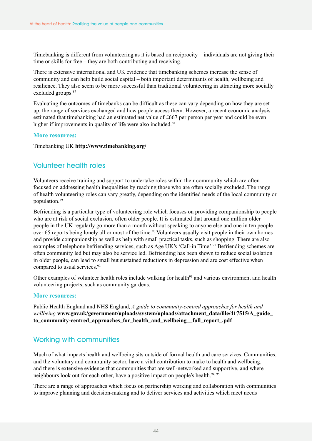Timebanking is different from volunteering as it is based on reciprocity – individuals are not giving their time or skills for free – they are both contributing and receiving.

There is extensive international and UK evidence that timebanking schemes increase the sense of community and can help build social capital – both important determinants of health, wellbeing and resilience. They also seem to be more successful than traditional volunteering in attracting more socially excluded groups.<sup>87</sup>

Evaluating the outcomes of timebanks can be difficult as these can vary depending on how they are set up, the range of services exchanged and how people access them. However, a recent economic analysis estimated that timebanking had an estimated net value of £667 per person per year and could be even higher if improvements in quality of life were also included.<sup>88</sup>

#### **More resources:**

Timebanking UK **<http://www.timebanking.org/>**

## Volunteer health roles

Volunteers receive training and support to undertake roles within their community which are often focused on addressing health inequalities by reaching those who are often socially excluded. The range of health volunteering roles can vary greatly, depending on the identified needs of the local community or population.89

Befriending is a particular type of volunteering role which focuses on providing companionship to people who are at risk of social exclusion, often older people. It is estimated that around one million older people in the UK regularly go more than a month without speaking to anyone else and one in ten people over 65 reports being lonely all or most of the time.<sup>90</sup> Volunteers usually visit people in their own homes and provide companionship as well as help with small practical tasks, such as shopping. There are also examples of telephone befriending services, such as Age UK's 'Call-in Time'.<sup>91</sup> Befriending schemes are often community led but may also be service led. Befriending has been shown to reduce social isolation in older people, can lead to small but sustained reductions in depression and are cost effective when compared to usual services.<sup>92</sup>

Other examples of volunteer health roles include walking for health<sup>93</sup> and various environment and health volunteering projects, such as community gardens.

#### **More resources:**

Public Health England and NHS England, *A guide to community-centred approaches for health and wellbeing* **[www.gov.uk/government/uploads/system/uploads/attachment\\_data/file/417515/A\\_guide\\_](http://www.gov.uk/government/uploads/system/uploads/attachment_data/file/417515/A_guide_to_community-centred_approaches_for_health_and_wellbeing__full_report_.pdf) [to\\_community-centred\\_approaches\\_for\\_health\\_and\\_wellbeing\\_\\_full\\_report\\_.pdf](http://www.gov.uk/government/uploads/system/uploads/attachment_data/file/417515/A_guide_to_community-centred_approaches_for_health_and_wellbeing__full_report_.pdf)** 

## Working with communities

Much of what impacts health and wellbeing sits outside of formal health and care services. Communities, and the voluntary and community sector, have a vital contribution to make to health and wellbeing, and there is extensive evidence that communities that are well-networked and supportive, and where neighbours look out for each other, have a positive impact on people's health.<sup>94, 95</sup>

There are a range of approaches which focus on partnership working and collaboration with communities to improve planning and decision-making and to deliver services and activities which meet needs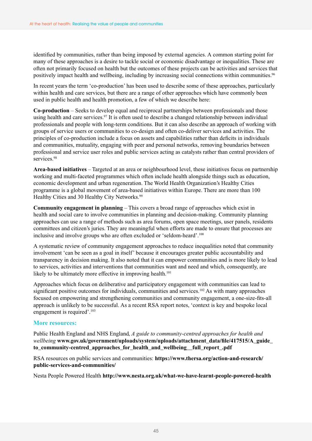identified by communities, rather than being imposed by external agencies. A common starting point for many of these approaches is a desire to tackle social or economic disadvantage or inequalities. These are often not primarily focused on health but the outcomes of these projects can be activities and services that positively impact health and wellbeing, including by increasing social connections within communities.<sup>96</sup>

In recent years the term 'co-production' has been used to describe some of these approaches, particularly within health and care services, but there are a range of other approaches which have commonly been used in public health and health promotion, a few of which we describe here:

**Co-production** – Seeks to develop equal and reciprocal partnerships between professionals and those using health and care services.<sup>97</sup> It is often used to describe a changed relationship between individual professionals and people with long-term conditions. But it can also describe an approach of working with groups of service users or communities to co-design and often co-deliver services and activities. The principles of co-production include a focus on assets and capabilities rather than deficits in individuals and communities, mutuality, engaging with peer and personal networks, removing boundaries between professional and service user roles and public services acting as catalysts rather than central providers of services.<sup>98</sup>

**Area-based initiatives** – Targeted at an area or neighbourhood level, these initiatives focus on partnership working and multi-faceted programmes which often include health alongside things such as education, economic development and urban regeneration. The World Health Organization's Healthy Cities programme is a global movement of area-based initiatives within Europe. There are more than 100 Healthy Cities and 30 Healthy City Networks.<sup>99</sup>

**Community engagement in planning** – This covers a broad range of approaches which exist in health and social care to involve communities in planning and decision-making. Community planning approaches can use a range of methods such as area forums, open space meetings, user panels, residents committees and citizen's juries. They are meaningful when efforts are made to ensure that processes are inclusive and involve groups who are often excluded or 'seldom-heard'.100

A systematic review of community engagement approaches to reduce inequalities noted that community involvement 'can be seen as a goal in itself' because it encourages greater public accountability and transparency in decision making. It also noted that it can empower communities and is more likely to lead to services, activities and interventions that communities want and need and which, consequently, are likely to be ultimately more effective in improving health.<sup>101</sup>

Approaches which focus on deliberative and participatory engagement with communities can lead to significant positive outcomes for individuals, communities and services.<sup>102</sup> As with many approaches focused on empowering and strengthening communities and community engagement, a one-size-fits-all approach is unlikely to be successful. As a recent RSA report notes, 'context is key and bespoke local engagement is required'.103

## **More resources:**

Public Health England and NHS England, *A guide to community-centred approaches for health and wellbeing* **[www.gov.uk/government/uploads/system/uploads/attachment\\_data/file/417515/A\\_guide\\_](http://www.gov.uk/government/uploads/system/uploads/attachment_data/file/417515/A_guide_to_community-centred_approaches_for_health_and_wellbeing__full_report_.pdf) [to\\_community-centred\\_approaches\\_for\\_health\\_and\\_wellbeing\\_\\_full\\_report\\_.pdf](http://www.gov.uk/government/uploads/system/uploads/attachment_data/file/417515/A_guide_to_community-centred_approaches_for_health_and_wellbeing__full_report_.pdf)**

RSA resources on public services and communities: **[https://www.thersa.org/action-and-research/](https://www.thersa.org/action-and-research/public-services-and-communities/) [public-services-and-communities/](https://www.thersa.org/action-and-research/public-services-and-communities/)** 

Nesta People Powered Health **<http://www.nesta.org.uk/what-we-have-learnt-people-powered-health>**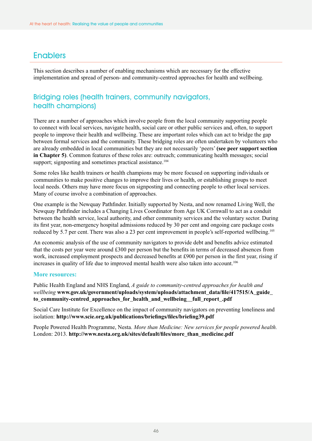## **Enablers**

This section describes a number of enabling mechanisms which are necessary for the effective implementation and spread of person- and community-centred approaches for health and wellbeing.

## Bridging roles (health trainers, community navigators, health champions)

There are a number of approaches which involve people from the local community supporting people to connect with local services, navigate health, social care or other public services and, often, to support people to improve their health and wellbeing. These are important roles which can act to bridge the gap between formal services and the community. These bridging roles are often undertaken by volunteers who are already embedded in local communities but they are not necessarily 'peers' **(see peer support section in Chapter 5)**. Common features of these roles are: outreach; communicating health messages; social support; signposting and sometimes practical assistance.<sup>104</sup>

Some roles like health trainers or health champions may be more focused on supporting individuals or communities to make positive changes to improve their lives or health, or establishing groups to meet local needs. Others may have more focus on signposting and connecting people to other local services. Many of course involve a combination of approaches.

One example is the Newquay Pathfinder. Initially supported by Nesta, and now renamed Living Well, the Newquay Pathfinder includes a Changing Lives Coordinator from Age UK Cornwall to act as a conduit between the health service, local authority, and other community services and the voluntary sector. During its first year, non-emergency hospital admissions reduced by 30 per cent and ongoing care package costs reduced by 5.7 per cent. There was also a 23 per cent improvement in people's self-reported wellbeing.<sup>105</sup>

An economic analysis of the use of community navigators to provide debt and benefits advice estimated that the costs per year were around £300 per person but the benefits in terms of decreased absences from work, increased employment prospects and decreased benefits at £900 per person in the first year, rising if increases in quality of life due to improved mental health were also taken into account.<sup>106</sup>

## **More resources:**

Public Health England and NHS England, *A guide to community-centred approaches for health and wellbeing* **[www.gov.uk/government/uploads/system/uploads/attachment\\_data/file/417515/A\\_guide\\_](http://www.gov.uk/government/uploads/system/uploads/attachment_data/file/417515/A_guide_to_community-centred_approaches_for_health_and_wellbeing__full_report_.pdf) [to\\_community-centred\\_approaches\\_for\\_health\\_and\\_wellbeing\\_\\_full\\_report\\_.pdf](http://www.gov.uk/government/uploads/system/uploads/attachment_data/file/417515/A_guide_to_community-centred_approaches_for_health_and_wellbeing__full_report_.pdf)**

Social Care Institute for Excellence on the impact of community navigators on preventing loneliness and isolation: **<http://www.scie.org.uk/publications/briefings/files/briefing39.pdf>** 

People Powered Health Programme, Nesta. *More than Medicine: New services for people powered health.*  London: 2013. **[http://www.nesta.org.uk/sites/default/files/more\\_than\\_medicine.pdf](http://www.nesta.org.uk/sites/default/files/more_than_medicine.pdf)**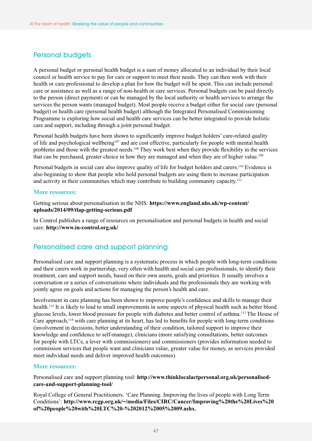## Personal budgets

A personal budget or personal health budget is a sum of money allocated to an individual by their local council or health service to pay for care or support to meet their needs. They can then work with their health or care professional to develop a plan for how the budget will be spent. This can include personal care or assistance as well as a range of non-health or care services. Personal budgets can be paid directly to the person (direct payment) or can be managed by the local authority or health services to arrange the services the person wants (managed budget). Most people receive a budget either for social care (personal budget) or health care (personal health budget) although the Integrated Personalised Commissioning Programme is exploring how social and health care services can be better integrated to provide holistic care and support, including through a joint personal budget.

Personal health budgets have been shown to significantly improve budget holders' care-related quality of life and psychological wellbeing<sup>107</sup> and are cost effective, particularly for people with mental health problems and those with the greatest needs.108 They work best when they provide flexibility in the services that can be purchased, greater choice in how they are managed and when they are of higher value.109

Personal budgets in social care also improve quality of life for budget holders and carers.<sup>110</sup> Evidence is also beginning to show that people who hold personal budgets are using them to increase participation and activity in their communities which may contribute to building community capacity.<sup>111</sup>

#### **More resources:**

Getting serious about personalisation in the NHS: **[https://www.england.nhs.uk/wp-content/](https://www.england.nhs.uk/wp-content/uploads/2014/09/tlap-getting-serious.pdf) [uploads/2014/09/tlap-getting-serious.pdf](https://www.england.nhs.uk/wp-content/uploads/2014/09/tlap-getting-serious.pdf)**

In Control publishes a range of resources on personalisation and personal budgets in health and social care: **<http://www.in-control.org.uk/>**

## Personalised care and support planning

Personalised care and support planning is a systematic process in which people with long-term conditions and their carers work in partnership, very often with health and social care professionals, to identify their treatment, care and support needs, based on their own assets, goals and priorities. It usually involves a conversation or a series of conversations where individuals and the professionals they are working with jointly agree on goals and actions for managing the person's health and care.

Involvement in care planning has been shown to improve people's confidence and skills to manage their health.112 It is likely to lead to small improvements in some aspects of physical health such as better blood glucose levels, lower blood pressure for people with diabetes and better control of asthma.113 The House of Care approach,<sup>114</sup> with care planning at its heart, has led to benefits for people with long-term conditions (involvement in decisions, better understanding of their condition, tailored support to improve their knowledge and confidence to self-manage), clinicians (more satisfying consultations, better outcomes for people with LTCs, a lever with commissioners) and commissioners (provides information needed to commission services that people want and clinicians value, greater value for money, as services provided meet individual needs and deliver improved health outcomes).

#### **More resources:**

Personalised care and support planning tool: **[http://www.thinklocalactpersonal.org.uk/personalised](http://www.thinklocalactpersonal.org.uk/personalised-care-and-support-planning-tool/)[care-and-support-planning-tool/](http://www.thinklocalactpersonal.org.uk/personalised-care-and-support-planning-tool/)** 

Royal College of General Practitioners. 'Care Planning. Improving the lives of people with Long Term Conditions': **[http://www.rcgp.org.uk/~/media/Files/CIRC/Cancer/Improving%20the%20Lives%20](http://www.rcgp.org.uk/~/media/Files/CIRC/Cancer/Improving%20the%20Lives%20of%20people%20with%20LTC%20-%202012%2005%2009.ashx) [of%20people%20with%20LTC%20-%202012%2005%2009.ashx.](http://www.rcgp.org.uk/~/media/Files/CIRC/Cancer/Improving%20the%20Lives%20of%20people%20with%20LTC%20-%202012%2005%2009.ashx)**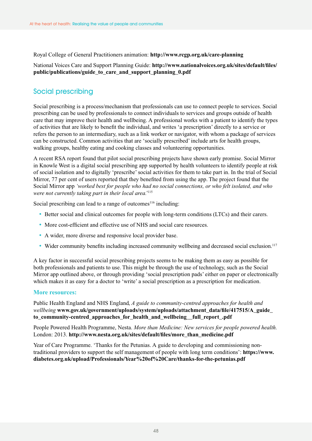Royal College of General Practitioners animation: **<http://www.rcgp.org.uk/care-planning>** 

## National Voices Care and Support Planning Guide: **[http://www.nationalvoices.org.uk/sites/default/files/](http://www.nationalvoices.org.uk/sites/default/files/public/publications/guide_to_care_and_support_planning_0.pdf) [public/publications/guide\\_to\\_care\\_and\\_support\\_planning\\_0.pdf](http://www.nationalvoices.org.uk/sites/default/files/public/publications/guide_to_care_and_support_planning_0.pdf)**

## Social prescribing

Social prescribing is a process/mechanism that professionals can use to connect people to services. Social prescribing can be used by professionals to connect individuals to services and groups outside of health care that may improve their health and wellbeing. A professional works with a patient to identify the types of activities that are likely to benefit the individual, and writes 'a prescription' directly to a service or refers the person to an intermediary, such as a link worker or navigator, with whom a package of services can be constructed. Common activities that are 'socially prescribed' include arts for health groups, walking groups, healthy eating and cooking classes and volunteering opportunities.

A recent RSA report found that pilot social prescribing projects have shown early promise. Social Mirror in Knowle West is a digital social prescribing app supported by health volunteers to identify people at risk of social isolation and to digitally 'prescribe' social activities for them to take part in. In the trial of Social Mirror, 77 per cent of users reported that they benefited from using the app. The project found that the Social Mirror app *'worked best for people who had no social connections, or who felt isolated, and who were not currently taking part in their local area.'*<sup>115</sup>

Social prescribing can lead to a range of outcomes $116$  including:

- Better social and clinical outcomes for people with long-term conditions (LTCs) and their carers.
- More cost-efficient and effective use of NHS and social care resources.
- A wider, more diverse and responsive local provider base.
- Wider community benefits including increased community wellbeing and decreased social exclusion.<sup>117</sup>

A key factor in successful social prescribing projects seems to be making them as easy as possible for both professionals and patients to use. This might be through the use of technology, such as the Social Mirror app outlined above, or through providing 'social prescription pads' either on paper or electronically which makes it as easy for a doctor to 'write' a social prescription as a prescription for medication.

#### **More resources:**

Public Health England and NHS England, *A guide to community-centred approaches for health and wellbeing* **[www.gov.uk/government/uploads/system/uploads/attachment\\_data/file/417515/A\\_guide\\_](http://www.gov.uk/government/uploads/system/uploads/attachment_data/file/417515/A_guide_to_community-centred_approaches_for_health_and_wellbeing__full_report_.pdf) [to\\_community-centred\\_approaches\\_for\\_health\\_and\\_wellbeing\\_\\_full\\_report\\_.pdf](http://www.gov.uk/government/uploads/system/uploads/attachment_data/file/417515/A_guide_to_community-centred_approaches_for_health_and_wellbeing__full_report_.pdf)**

People Powered Health Programme, Nesta. *More than Medicine: New services for people powered health.* London: 2013. **[http://www.nesta.org.uk/sites/default/files/more\\_than\\_medicine.pdf](http://www.nesta.org.uk/sites/default/files/more_than_medicine.pdf)** 

Year of Care Programme. 'Thanks for the Petunias. A guide to developing and commissioning nontraditional providers to support the self management of people with long term conditions': **[https://www.](https://www.diabetes.org.uk/upload/Professionals/Year%20of%20Care/thanks-for-the-petunias.pdf) [diabetes.org.uk/upload/Professionals/Year%20of%20Care/thanks-for-the-petunias.pdf](https://www.diabetes.org.uk/upload/Professionals/Year%20of%20Care/thanks-for-the-petunias.pdf)**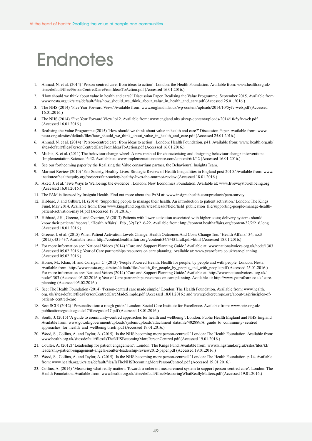## <span id="page-48-0"></span>**Endnotes**

- 1. Ahmad, N. et al. (2014) 'Person-centred care: from ideas to action'. London: the Health Foundation. Available from: www.health.org.uk/ sites/default/files/PersonCentredCareFromIdeasToAction.pdf (Accessed 16.01.2016.)
- 2. 'How should we think about value in health and care?' Discussion Paper. Realising the Value Programme, September 2015. Available from: www.nesta.org.uk/sites/default/files/how\_should\_we\_think\_about\_value\_in\_health\_and\_care.pdf (Accessed 25.01.2016.)
- 3. The NHS (2014) 'Five Year Forward View.' Available from: www.england.nhs.uk/wp-content/uploads/2014/10/5yfv-web.pdf (Accessed 16.01.2016.)
- 4. The NHS (2014) 'Five Year Forward View.' p12. Available from: www.england.nhs.uk/wp-content/uploads/2014/10/5yfv-web.pdf (Accessed 16.01.2016.)
- 5. Realising the Value Programme (2015) 'How should we think about value in health and care?' Discussion Paper. Available from: www. nesta.org.uk/sites/default/files/how\_should\_we\_think\_about\_value\_in\_health\_and\_care.pdf (Accessed 25.01.2016.)
- 6. Ahmad, N. et al. (2014) 'Person-centred care: from ideas to action'. London: Health Foundation. p41. Available from: www. health.org.uk/ sites/default/files/PersonCentredCareFromIdeasToAction.pdf (Accessed 16.01.2016.)
- 7. Michie, S. et al. (2011) The behaviour change wheel: A new method for characterising and designing behaviour change interventions. 'Implementation Science.' 6:42. Available at: www.implementationscience.com/content/6/1/42 (Accessed 16.01.2016.)
- 8. See our forthcoming paper by the Realising the Value consortium partner, the Behavioural Insights Team.
- 9. Marmot Review (2010) 'Fair Society, Healthy Lives. Strategic Review of Health Inequalities in England post-2010.' Available from: www. instituteofhealthequity.org/projects/fair-society-healthy-lives-the-marmot-review (Accessed 18.01.2016.)
- 10. Aked, J. et al. 'Five Ways to Wellbeing: the evidence'. London: New Economics Foundation. Available at: www.fivewaystowellbeing.org (Accessed 16.01.2016.)
- 11. The PAM is licensed by Insignia Health. Find out more about the PAM at: www.insigniahealth.com/products/pam-survey
- 12. Hibbard, J. and Gilburt, H. (2014) 'Supporting people to manage their health. An introduction to patient activation.' London: The Kings Fund, May 2014. Available from: from www.kingsfund.org.uk/sites/files/kf/field/field\_publication\_file/supporting-people-manage-healthpatient-activation-may14.pdf (Accessed 18.01.2016.)
- 13. Hibbard, J.H., Greene, J. and Overton, V. (2013) Patients with lower activation associated with higher costs; delivery systems should know their patients' 'scores'. 'Health Affairs'. Feb., 32(2):216-22. Available from: http://content.healthaffairs.org/content/32/2/216.long (Accessed 18.01.2016.)
- 14. Greene, J. et al. (2015) When Patient Activation Levels Change, Health Outcomes And Costs Change Too. 'Health Affairs.' 34, no.3 (2015):431-437. Available from: http://content.healthaffairs.org/content/34/3/431.full.pdf+html (Accessed 18.01.2016.)
- 15. For more information see: National Voices (2014) 'Care and Support Planning Guide.' Available at: www.nationalvoices.org.uk/node/1303 (Accessed 05.02.2016.); Year of Care partnerships resources on care planning. Available at: www.yearofcare.co.uk/care-planning (Accessed 05.02.2016.)
- 16. Horne, M., Khan, H. and Corrigan, C. (2013) 'People Powered Health: Health for people, by people and with people. London: Nesta. Available from: http://www.nesta.org.uk/sites/default/files/health\_for\_people\_by\_people\_and\_with\_people.pdf (Accessed 25.01.2016.) For more information see: National Voices (2014) 'Care and Support Planning Guide.' Available at: http://www.nationalvoices. org.uk/ node/1303 (Accessed 05.02.2016.); Year of Care partnerships resources on care planning. Available at: http://www.yearofcare.co.uk/ careplanning (Accessed 05.02.2016.)
- 17. See: The Health Foundation (2014) 'Person-centred care made simple.' London: The Health Foundation. Available from: www.health. org. uk/sites/default/files/PersonCentredCareMadeSimple.pdf (Accessed 18.01.2016.) and www.pickereurope.org/about-us/principles-ofpatient- centred-care
- 18. See: SCIE (2012) 'Personalisation: a rough guide.' London: Social Care Institute for Excellence. Available from: www.scie.org.uk/ publications/guides/guide47/files/guide47.pdf (Accessed 18.01.2016.)
- 19. South, J. (2015) 'A guide to community-centred approaches for health and wellbeing'. London: Public Health England and NHS England. Available from: www.gov.uk/government/uploads/system/uploads/attachment\_data/file/402889/A\_guide\_to\_community- centred\_ approaches\_for\_health\_and\_wellbeing briefi .pdf (Accessed 19.01.2016.)
- 20. Wood, S., Collins, A. and Taylor, A. (2015) 'Is the NHS becoming more person-centred?' London: The Health Foundation. Available from: www.health.org.uk/sites/default/files/IsTheNHSBecomingMorePersonCentred.pdf (Accessed 19.01.2016.)
- 21. Coulter, A. (2012) 'Leadership for patient engagement'. London: The Kings Fund. Available from: www.kingsfund.org.uk/sites/files/kf/ leadership-patient-engagement-angela-coulter-leadership-review2012-paper.pdf (Accessed 19.01.2016.)
- 22. Wood, S., Collins, A. and Taylor, A. (2015) 'Is the NHS becoming more person-centred?' London: The Health Foundation. p.14. Available from: www.health.org.uk/sites/default/files/IsTheNHSBecomingMorePersonCentred.pdf (Accessed 19.01.2016.)
- 23. Collins, A. (2014) 'Measuring what really matters: Towards a coherent measurement system to support person-centred care'. London: The Health Foundation. Available from: www.health.org.uk/sites/default/files/MeasuringWhatReallyMatters.pdf (Accessed 19.01.2016.)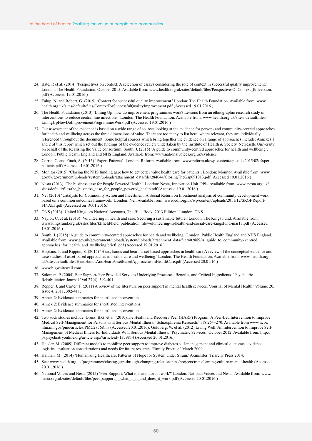- 24. Bate, P. et al. (2014) 'Perspectives on context: A selection of essays considering the role of context in successful quality improvement.' London: The Health Foundation, October 2015. Available from: www.health.org.uk/sites/default/files/PerspectivesOnContext\_fullversion. pdf (Accessed 19.01.2016.)
- 25. Fulup, N. and Robert, G. (2015) 'Context for successful quality improvement.' London: The Health Foundation. Available from: www. health.org.uk/sites/default/files/ContextForSuccessfulQualityImprovement.pdf (Accessed 19.01.2016.)
- 26. The Health Foundation (2013) 'Lining Up: how do improvement programmes work? Lessons from an ethnographic research study of interventions to reduce central line infections.' London: The Health Foundation. Available from: www.health.org.uk/sites/ default/files/ LiningUpHowDoImprovementProgrammesWork.pdf (Accessed 19.01.2016.)
- 27. Our assessment of the evidence is based on a wide range of sources looking at the evidence for person- and community-centred approaches for health and wellbeing across the three dimensions of value. There are too many to list here: where relevant, they are individually referenced throughout the document. Some helpful sources which bring together the evidence on a range of approaches include: Annexes 1 and 2 of this report which set out the findings of the evidence review undertaken by the Institute of Health & Society, Newcastle University on behalf of the Realising the Value consortium; South, J. (2015) 'A guide to community-centred approaches for health and wellbeing'. London: Public Health England and NHS England. Available from: www.nationalvoices.org.uk/evidence
- 28. Corrie. C, and Finch, A. (2015) 'Expert Patients'. London: Reform. Available from: www.reform.uk/wp-content/uploads/2015/02/Expertpatients.pdf (Accessed 19.01.2016.)
- 29. Monitor (2015) 'Closing the NHS funding gap: how to get better value health care for patients'. London: Monitor. Available from: www. gov.uk/government/uploads/system/uploads/attachment\_data/file/284044/ClosingTheGap091013.pdf (Accessed 19.01.2016.)
- 30. Nesta (2013) 'The business case for People Powered Health'. London: Nesta, Innovation Unit, PPL. Available from: www. nesta.org.uk/ sites/default/files/the\_business\_case\_for\_people\_powered\_health.pdf (Accessed 19.01.2016.)
- 31. Nef (2010) 'Catalysts for Community Action and Investment: A Social Return on Investment analysis of community development work based on a common outcomes framework.' London: Nef. Available from: www.cdf.org.uk/wp-content/uploads/2011/12/SROI-Report-FINAL1.pdf (Accessed on 19.01.2016.)
- 32. ONS (2013) 'United Kingdom National Accounts, The Blue Book, 2013 Edition.' London: ONS.
- 33. Naylor, C. et al. (2013) 'Volunteering in health and care: Securing a sustainable future.' London: The Kings Fund. Available from: www.kingsfund.org.uk/sites/files/kf/field/field\_publication\_file/volunteering-in-health-and-social-care-kingsfund-mar13.pdf (Accessed 19.01.2016.)
- 34. South, J. (2015) 'A guide to community-centred approaches for health and wellbeing.' London: Public Health England and NHS England. Available from: www.gov.uk/government/uploads/system/uploads/attachment\_data/file/402889/A\_guide\_to\_community- centred\_ approaches\_for\_health\_and\_wellbeing briefi .pdf (Accessed 19.01.2016.)
- 35. Hopkins, T. and Rippon, S. (2015) 'Head, hands and heart: asset-based approaches in health care A review of the conceptual evidence and case studies of asset-based approaches in health, care and wellbeing.' London: The Health Foundation. Available from: www. health.org. uk/sites/default/files/HeadHandsAndHeartAssetBasedApproachesInHealthCare.pdf (Accessed 20.01.16.)
- 36. www.bigwhitewall.com
- 37. Soloman, P. (2004) Peer Support/Peer Provided Services Underlying Processes, Benefits, and Critical Ingredients. 'Psychiatric Rehabilitation Journal.' Vol 27(4), 392-401.
- 38. Repper, J. and Carter, T. (2011) A review of the literature on peer support in mental health services. 'Journal of Mental Health.' Volume 20, Issue 4, 2011, 392-411.
- 39. Annex 2: Evidence summaries for shortlisted interventions.
- 40. Annex 2: Evidence summaries for shortlisted interventions.
- 41. Annex 2: Evidence summaries for shortlisted interventions.
- 42. Two such studies include: Druss, B.G. et al. (2010)The Health and Recovery Peer (HARP) Program: A Peer-Led Intervention to Improve Medical Self-Management for Persons with Serious Mental Illness. 'Schizophrenia Research.' 118:264–270. Available from www.ncbi. nlm.nih.gov/pmc/articles/PMC2856811/ (Accessed 20.01.2016); Goldberg, W. et al. (2012) Living Well: An Intervention to Improve Self-Management of Medical Illness for Individuals With Serious Mental Illness. 'Psychiatric Services.' October 2012. Available from: http:// ps.psychiatryonline.org/article.aspx?articleid=1379814 (Accessed 20.01.2016.)
- 43. Heisler, M. (2009) Different models to mobilize peer support to improve diabetes self-management and clinical outcomes: evidence, logistics, evaluation considerations and needs for future research. 'Family Practice.' March 2009.
- 44. Hannah, M. (2014) 'Humanising Healthcare, Patterns of Hope for System under Strain.' Axminster: Triarchy Press 2014.
- 45. See: www.health.org.uk/programmes/closing-gap-through-changing-relationships/projects/transforming-culture-mental-health (Accessed 20.01.2016.)
- 46. National Voices and Nesta (2015) 'Peer Support: What it is and does it work?' London: National Voices and Nesta. Available from: www. nesta.org.uk/sites/default/files/peer\_support\_-\_what\_is\_it\_and\_does\_it\_work.pdf (Accessed 20.01.2016.)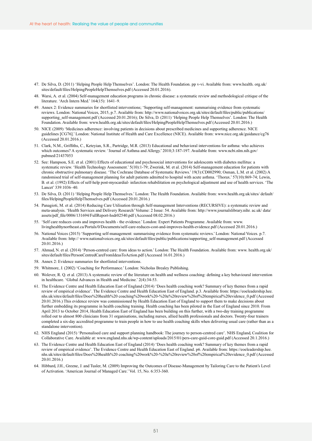- 47. De Silva, D. (2011) 'Helping People Help Themselves'. London: The Health Foundation. pp v-vi. Available from: www.health. org.uk/ sites/default/files/HelpingPeopleHelpThemselves.pdf (Accessed 20.01.2016).
- 48. Warsi, A. et al. (2004) Self-management education programs in chronic disease: a systematic review and methodological critique of the literature. 'Arch Intern Med.' 164(15): 1641–9.
- 49. Annex 2: Evidence summaries for shortlisted interventions; 'Supporting self-management: summarising evidence from systematic reviews. London: National Voices, 2015, p.7. Available from: http://www.nationalvoices.org.uk/sites/default/files/public/publications/ supporting\_self-management.pdf (Accessed 20.01.2016); De Silva, D. (2011) 'Helping People Help Themselves'. London: The Health Foundation. Available from: www.health.org.uk/sites/default/files/HelpingPeopleHelpThemselves.pdf (Accessed 20.01.2016.)
- 50. NICE (2009) 'Medicines adherence: involving patients in decisions about prescribed medicines and supporting adherence. NICE guidelines [CG76].' London: National Institute of Health and Care Excellence (NICE). Available from: www.nice.org.uk/guidance/cg76 (Accessed 20.01.2016.)
- 51. Clark, N.M., Griffiths, C., Keteyian, S.R., Partridge, M.R. (2013) Educational and behavioral interventions for asthma: who achieves which outcomes? A systematic review. 'Journal of Asthma and Allergy.' 2010;3:187-197. Available from: www.ncbi.nlm.nih.gov/ pubmed/21437053
- 52. See: Hampson, S.E. et al. (2001) Effects of educational and psychosocial interventions for adolescents with diabetes mellitus: a systematic review. 'Health Technology Assessment.' 5(10):1-79; Zwerink, M. et al. (2014) Self-management education for patients with chronic obstructive pulmonary disease. 'The Cochrane Database of Systematic Reviews.' 19(3):CD002990; Osman, L.M. et al. (2002) A randomised trial of self-management planning for adult patients admitted to hospital with acute asthma. 'Thorax.' 57(10):869-74; Lewin, B. et al. (1992) Effects of self-help post-myocardial- infarction rehabilitation on psychological adjustment and use of health services. 'The Lancet' 339:1036–40.
- 53. De Silva, D. (2011) 'Helping People Help Themselves.' London: The Health Foundation. Available from: www.health.org.uk/sites/ default/ files/HelpingPeopleHelpThemselves.pdf (Accessed 20.01.2016.)
- 54. Panagioti, M. et al. (2014) Reducing Care Utilisation through Self-management Interventions (RECURSIVE): a systematic review and meta-analysis. 'Health Services and Delivery Research' Volume: 2 Issue: 54. Available from: http://www.journalslibrary.nihr. ac.uk/ data/ assets/pdf\_file/0006/131694/FullReport-hsdr02540.pdf (Accessed 08.02.2016.)
- 55. 'Self care reduces costs and improves health the evidence.' London: Expert Patients Programme. Available from: www. livinghealthynortheast.ca/Portals/0/Documents/self-care-reduces-cost-and-improves-health-evidence.pdf (Accessed 20.01.2016.)
- 56. National Voices (2015) 'Supporting self-management: summarising evidence from systematic reviews.' London: National Voices. p.7. Available from: http:// www.nationalvoices.org.uk/sites/default/files/public/publications/supporting\_self-management.pdf (Accessed 20.01.2016.)
- 57. Ahmad, N. et al. (2014) 'Person-centred care: from ideas to action.' London: The Health Foundation. Available from: www. health.org.uk/ sites/default/files/PersonCentredCareFromIdeasToAction.pdf (Accessed 16.01.2016.)
- 58. Annex 2: Evidence summaries for shortlisted interventions.
- 59. Whitmore, J. (2002) 'Coaching for Performance.' London: Nicholas Brealey Publishing.
- 60. Wolever, R. Q. et al. (2013) A systematic review of the literature on health and wellness coaching: defining a key behavioural intervention in healthcare. 'Global Advances in Health and Medicine.' 2(4):34-53.
- 61. The Evidence Centre and Health Education East of England (2014) 'Does health coaching work? Summary of key themes from a rapid review of empirical evidence'. The Evidence Centre and Health Education East of England. p.3. Available from: https://eoeleadership.hee. nhs.uk/sites/default/files/Does%20health%20 coaching%20work%20-%20a%20review%20of%20empirical%20evidence\_0.pdf (Accessed 20.01.2016.) This evidence review was commissioned by Health Education East of England to support them to make decisions about further embedding its programme in health coaching training. Health coaching has been piloted in the East of England since 2010. From April 2013 to October 2014, Health Education East of England has been building on this further, with a two-day training programme rolled out to almost 800 clinicians from 31 organisations, including nurses, allied health professionals and doctors. Twenty-four trainers completed a six-day accredited programme to train people in how to use health coaching skills when delivering usual care (rather than as a standalone intervention).
- 62. NHS England (2015) 'Personalised care and support planning handbook: The journey to person-centred care'. NHS England, Coalition for Collaborative Care. Available at: www.england.nhs.uk/wp-content/uploads/2015/01/pers-care-guid-core-guid.pdf (Accessed 20.1.2016.)
- 63. The Evidence Centre and Health Education East of England (2014) 'Does health coaching work? Summary of key themes from a rapid review of empirical evidence'. The Evidence Centre and Health Education East of England. p6. Available from: https://eoeleadership.hee. nhs.uk/sites/default/files/Does%20health%20 coaching%20work%20-%20a%20review%20of%20empirical%20evidence\_0.pdf (Accessed 20.01.2016.)
- 64. Hibbard, J.H., Greene, J. and Tusler, M. (2009) Improving the Outcomes of Disease-Management by Tailoring Care to the Patient's Level of Activation. 'American Journal of Managed Care.' Vol. 15, No. 6:353-360.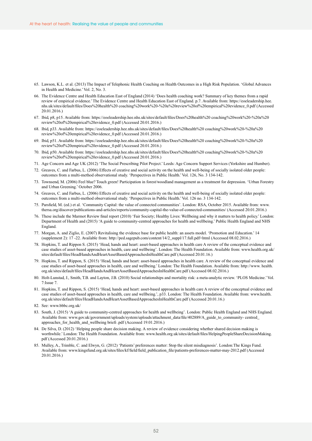- 65. Lawson, K.L. et al. (2013) The Impact of Telephonic Health Coaching on Health Outcomes in a High Risk Population. 'Global Advances in Health and Medicine.' Vol. 2, No. 3.
- 66. The Evidence Centre and Health Education East of England (2014) 'Does health coaching work? Summary of key themes from a rapid review of empirical evidence.' The Evidence Centre and Health Education East of England. p.7. Available from: https://eoeleadership.hee. nhs.uk/sites/default/files/Does%20health%20 coaching%20work%20-%20a%20review%20of%20empirical%20evidence\_0.pdf (Accessed 20.01.2016.)
- 67. Ibid, p8, p15. Available from: https://eoeleadership.hee.nhs.uk/sites/default/files/Does%20health%20 coaching%20work%20-%20a%20 review%20of%20empirical%20evidence\_0.pdf (Accessed 20.01.2016.)
- 68. Ibid, p33. Available from: https://eoeleadership.hee.nhs.uk/sites/default/files/Does%20health%20 coaching%20work%20-%20a%20 review%20of%20empirical%20evidence\_0.pdf (Accessed 20.01.2016.)
- 69. Ibid, p51. Available from: https://eoeleadership.hee.nhs.uk/sites/default/files/Does%20health%20 coaching%20work%20-%20a%20 review%20of%20empirical%20evidence\_0.pdf (Accessed 20.01.2016.)
- 70. Ibid, p50. Available from: https://eoeleadership.hee.nhs.uk/sites/default/files/Does%20health%20 coaching%20work%20-%20a%20 review%20of%20empirical%20evidence\_0.pdf (Accessed 20.01.2016.)
- 71. Age Concern and Age UK (2012) 'The Social Prescribing Pilot Project.' Leeds: Age Concern Support Services (Yorkshire and Humber).
- 72. Greaves, C. and Farbus, L. (2006) Effects of creative and social activity on the health and well-being of socially isolated older people: outcomes from a multi-method observational study. 'Perspectives in Public Health.' Vol. 126, No. 3 134-142.
- 73. Townsend, M. (2006) Feel blue? Touch green! Participation in forest/woodland management as a treatment for depression. 'Urban Forestry and Urban Greening.' October 2006.
- 74. Greaves, C. and Farbus, L. (2006) Effects of creative and social activity on the health and well-being of socially isolated older people: outcomes from a multi-method observational study. 'Perspectives in Public Health.' Vol. 126 no. 3 134-142.
- 75. Parsfield, M. (ed.) et al. 'Community Capital: the value of connected communities'. London: RSA, October 2015. Available from: www. thersa.org/discover/publications-and-articles/reports/community-capital-the-value-of-connected-communities/ (Accessed 20.01.2016.)
- 76. These include the Marmot Review final report (2010) 'Fair Society; Healthy Lives: Wellbeing and why it matters to health policy.' London: Department of Health and (2015) 'A guide to community-centred approaches for health and wellbeing.' Public Health England and NHS England.
- 77. Morgan, A. and Ziglio, E. (2007) Revitalising the evidence base for public health: an assets model. 'Promotion and Education.' 14 (supplement 2): 17 -22. Available from: http://ped.sagepub.com/content/14/2\_suppl/17.full.pdf+html (Accessed 08.02.2016.)
- 78. Hopkins, T. and Rippon S. (2015) 'Head, hands and heart: asset-based approaches in health care A review of the conceptual evidence and case studies of asset-based approaches in health, care and wellbeing'. London: The Health Foundation. Available from: www.health.org.uk/ sites/default/files/HeadHandsAndHeartAssetBasedApproachesInHealthCare.pdf (Accessed 20.01.16.)
- 79. Hopkins, T. and Rippon, S. (2015) 'Head, hands and heart: asset-based approaches in health care. A review of the conceptual evidence and case studies of asset-based approaches in health, care and wellbeing.' London: The Health Foundation. Available from: http://www. health. org.uk/sites/default/files/HeadHandsAndHeartAssetBasedApproachesInHealthCare.pdf (Accessed 08.02.2016.)
- 80. Holt-Lunstad, J., Smith, T.B. and Layton, J.B. (2010) Social relationships and mortality risk: a meta-analytic review. 'PLOS Medicine.' Vol. 7:Issue 7.
- 81. Hopkins, T. and Rippon, S. (2015) 'Head, hands and heart: asset-based approaches in health care A review of the conceptual evidence and case studies of asset-based approaches in health, care and wellbeing.', p33. London: The Health Foundation. Available from: www.health. org.uk/sites/default/files/HeadHandsAndHeartAssetBasedApproachesInHealthCare.pdf (Accessed 20.01.16.)
- 82. See: www.bbbc.org.uk/
- 83. South, J. (2015) 'A guide to community-centred approaches for health and wellbeing'. London: Public Health England and NHS England. Available from: www.gov.uk/government/uploads/system/uploads/attachment\_data/file/402889/A\_guide\_to\_community- centred\_ approaches\_for\_health\_and\_wellbeing briefi .pdf (Accessed 19.01.2016.)
- 84. De Silva, D. (2012) 'Helping people share decision making. A review of evidence considering whether shared decision making is worthwhile.' London: The Health Foundation. Available from: www.health.org.uk/sites/default/files/HelpingPeopleShareDecisionMaking. pdf (Accessed 20.01.2016.)
- 85. Mulley, A., Trimble, C. and Elwyn, G. (2012) 'Patients' preferences matter: Stop the silent misdiagnosis'. London:The Kings Fund. Available from: www.kingsfund.org.uk/sites/files/kf/field/field\_publication\_file/patients-preferences-matter-may-2012.pdf (Accessed 20.01.2016.)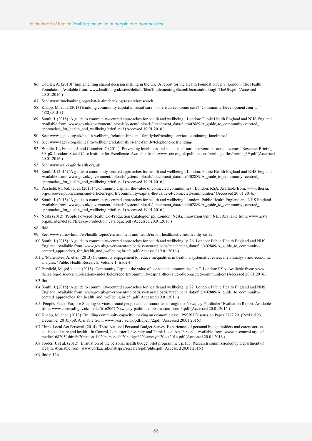- 86. Coulter, A. (2010) 'Implementing shared decision making in the UK: A report for the Health Foundation', p.8. London: The Health Foundation. Available from: www.health.org.uk/sites/default/files/ImplementingSharedDecisionMakingInTheUK.pdf (Accessed 20.01.2016.)
- 87. See: www.timebanking.org/what-is-timebanking/research/research
- 88. Knapp, M. et al. (2013) Building community capital in social care: is there an economic case? 'Community Development Journal.' 48(2):313-31.
- 89. South, J. (2015) 'A guide to community-centred approaches for health and wellbeing'. London: Public Health England and NHS England. Available from: www.gov.uk/government/uploads/system/uploads/attachment\_data/file/402889/A\_guide\_to\_community- centred\_ approaches\_for\_health\_and\_wellbeing briefi .pdf (Accessed 19.01.2016.)
- 90. See: www.ageuk.org.uk/health-wellbeing/relationships-and-family/befriending-services-combating-loneliness/
- 91. See: www.ageuk.org.uk/health-wellbeing/relationships-and-family/telephone-befriending/
- 92. Windle, K., Francis, J. and Coomber, C.(2011) 'Preventing loneliness and social isolation: interventions and outcomes.' Research Briefing 39, p8. London: Social Care Institute for Excellence. Available from: www.scie.org.uk/publications/briefings/files/briefing39.pdf (Accessed 20.01.2016.)
- 93. See: www.walkingforhealth.org.uk
- 94. South, J. (2015) 'A guide to community-centred approaches for health and wellbeing'. London: Public Health England and NHS England. Available from: www.gov.uk/government/uploads/system/uploads/attachment\_data/file/402889/A\_guide\_to\_community- centred\_ approaches\_for\_health\_and\_wellbeing briefi .pdf (Accessed 19.01.2016.)
- 95. Parsfield, M. (ed.) et al. (2015) 'Community Capital: the value of connected communities'. London: RSA. Available from: www. thersa. org/discover/publications-and-articles/reports/community-capital-the-value-of-connected-communities/ (Accessed 20.01.2016.)
- 96. South, J. (2015) 'A guide to community-centred approaches for health and wellbeing.' London: Public Health England and NHS England. Available from: www.gov.uk/government/uploads/system/uploads/attachment\_data/file/402889/A\_guide\_to\_community- centred\_ approaches\_for\_health\_and\_wellbeing briefi .pdf (Accessed 19.01.2016.)
- 97. Nesta (2012) 'People Powered Health Co-Production Catalogue.' p5. London: Nesta, Innovation Unit, NEF. Available from: www.nesta. org.uk/sites/default/files/co-production\_catalogue.pdf (Accessed 20.01.2016.)

- 99. See: www.euro.who.int/en/health-topics/environment-and-health/urban-health/activities/healthy-cities
- 100.South, J. (2015) 'A guide to community-centred approaches for health and wellbeing.' p.26. London: Public Health England and NHS England. Available from: www.gov.uk/government/uploads/system/uploads/attachment\_data/file/402889/A\_guide\_to\_communitycentred\_approaches\_for\_health\_and\_wellbeing briefi .pdf (Accessed 19.01.2016.)
- 101.O'Mara-Eves, A. et al. (2013) Community engagement to reduce inequalities in health: a systematic review, meta-analysis and economic analysis. 'Public Health Research.' Volume 1, Issue 4.
- 102.Parsfield, M. (ed.) et al. (2015) 'Community Capital: the value of connected communities.', p.7. London: RSA. Available from: www. thersa.org/discover/publications-and-articles/reports/community-capital-the-value-of-connected-communities/ (Accessed 20.01.2016.)

103.Ibid.

- 104.South, J. (2015) 'A guide to community-centred approaches for health and wellbeing.' p.22. London: Public Health England and NHS England. Available from: www.gov.uk/government/uploads/system/uploads/attachment\_data/file/402889/A\_guide\_to\_communitycentred\_approaches\_for\_health\_and\_wellbeing briefi .pdf (Accessed 19.01.2016.)
- 105.'People, Place, Purpose Shaping services around people and communities through the Newquay Pathfinder' Evaluation Report. Available from: www.cornwall.gov.uk/media/6162062/Newquay-pathfinder-Evaluation-proof3.pdf (Accessed 20.01.2016.)
- 106.Knapp, M. et al. (2010) 'Building community capacity: making an economic case.' PSSRU Discussion Paper 2772 29. (Revised 23 December 2010.) p8. Available from: www.pssru.ac.uk/pdf/dp2772.pdf (Accessed 20.01.2016.)
- 107.Think Local Act Personal (2014) 'Third National Personal Budget Survey. Experiences of personal budget holders and carers across adult social care and health'. In Control, Lancaster University and Think Local Act Personal. Available from: www.in-control.org.uk/ media/168205/ third%20national%20personal%20budget%20survey%20oct2014.pdf (Accessed 20.01.2016.)
- 108.Forder, J. et al. (2012) 'Evaluation of the personal health budget pilot programme', p.155. Research commissioned by Department of Health. Available from: www.york.ac.uk/inst/spru/research/pdf/phbe.pdf (Accessed 20.01.2016.)

109.Ibid p.126.

<sup>98.</sup> Ibid.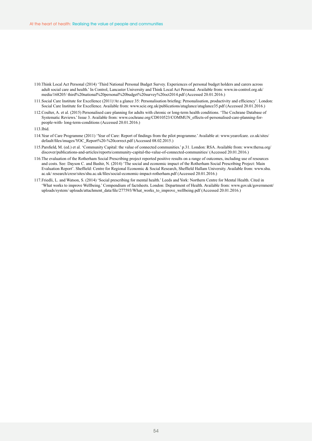- 110.Think Local Act Personal (2014) 'Third National Personal Budget Survey. Experiences of personal budget holders and carers across adult social care and health.' In Control, Lancaster University and Think Local Act Personal. Available from: www.in-control.org.uk/ media/168205/ third%20national%20personal%20budget%20survey%20oct2014.pdf (Accessed 20.01.2016.)
- 111.Social Care Institute for Excellence (2011)'At a glance 35: Personalisation briefing: Personalisation, productivity and efficiency'. London: Social Care Institute for Excellence. Available from: www.scie.org.uk/publications/ataglance/ataglance35.pdf (Accessed 20.01.2016.)
- 112.Coulter, A. et al. (2015) Personalised care planning for adults with chronic or long-term health conditions. 'The Cochrane Database of Systematic Reviews.' Issue 3. Available from: www.cochrane.org/CD010523/COMMUN\_effects-of-personalised-care-planning-forpeople-with- long-term-conditions (Accessed 20.01.2016.)
- 113.Ibid.
- 114.Year of Care Programme (2011) 'Year of Care: Report of findings from the pilot programme.' Available at: www.yearofcare. co.uk/sites/ default/files/images/YOC\_Report%20-%20correct.pdf (Accessed 08.02.2015.)
- 115.Parsfield, M. (ed.) et al. 'Community Capital: the value of connected communities.' p.31. London: RSA. Available from: www.thersa.org/ discover/publications-and-articles/reports/community-capital-the-value-of-connected-communities/ (Accessed 20.01.2016.)
- 116.The evaluation of the Rotherham Social Prescribing project reported positive results on a range of outcomes, including use of resources and costs. See: Dayson C. and Bashir, N. (2014) 'The social and economic impact of the Rotherham Social Prescribing Project: Main Evaluation Report'. Sheffield: Centre for Regional Economic & Social Research, Sheffield Hallam University. Available from: www.shu. ac.uk/ research/cresr/sites/shu.ac.uk/files/social-economic-impact-rotherham.pdf (Accessed 20.01.2016.)
- 117.Friedli, L. and Watson, S. (2014) 'Social prescribing for mental health.' Leeds and York: Northern Centre for Mental Health. Cited in 'What works to improve Wellbeing.' Compendium of factsheets. London: Department of Health. Available from: www.gov.uk/government/ uploads/system/ uploads/attachment\_data/file/277593/What\_works\_to\_improve\_wellbeing.pdf (Accessed 20.01.2016.)